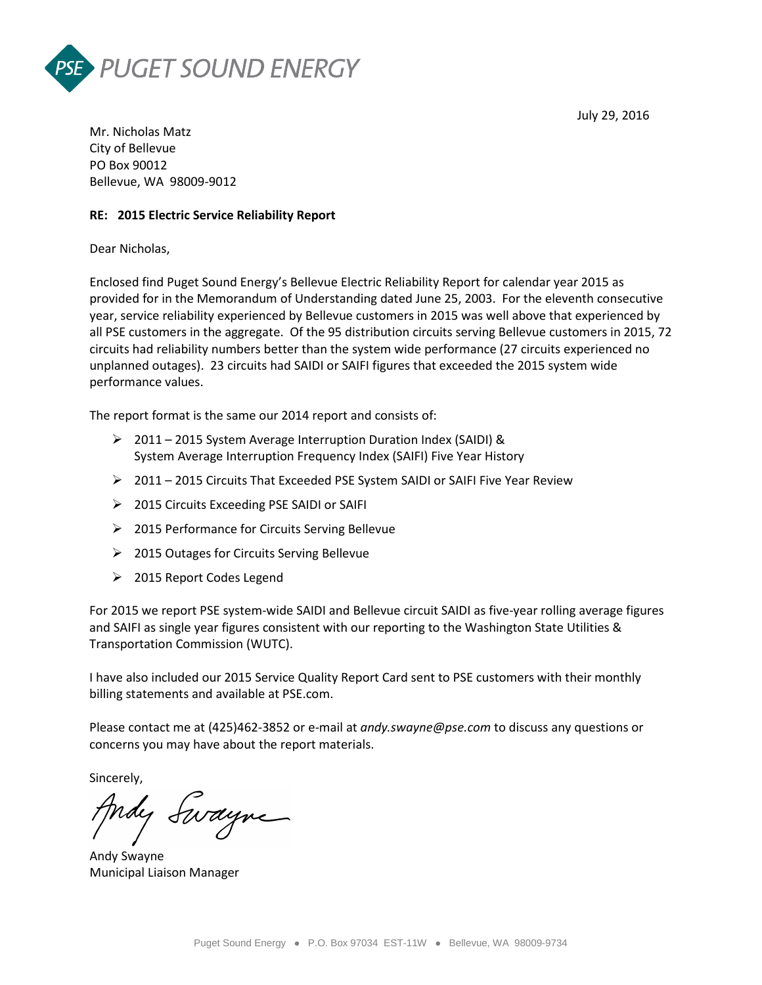



Mr. Nicholas Matz City of Bellevue PO Box 90012 Bellevue, WA 98009-9012

## **RE: 2015 Electric Service Reliability Report**

Dear Nicholas,

Enclosed find Puget Sound Energy's Bellevue Electric Reliability Report for calendar year 2015 as provided for in the Memorandum of Understanding dated June 25, 2003. For the eleventh consecutive year, service reliability experienced by Bellevue customers in 2015 was well above that experienced by all PSE customers in the aggregate. Of the 95 distribution circuits serving Bellevue customers in 2015, 72 circuits had reliability numbers better than the system wide performance (27 circuits experienced no unplanned outages). 23 circuits had SAIDI or SAIFI figures that exceeded the 2015 system wide performance values.

The report format is the same our 2014 report and consists of:

- $\geq$  2011 2015 System Average Interruption Duration Index (SAIDI) & System Average Interruption Frequency Index (SAIFI) Five Year History
- 2011 2015 Circuits That Exceeded PSE System SAIDI or SAIFI Five Year Review
- 2015 Circuits Exceeding PSE SAIDI or SAIFI
- 2015 Performance for Circuits Serving Bellevue
- 2015 Outages for Circuits Serving Bellevue
- 2015 Report Codes Legend

For 2015 we report PSE system-wide SAIDI and Bellevue circuit SAIDI as five-year rolling average figures and SAIFI as single year figures consistent with our reporting to the Washington State Utilities & Transportation Commission (WUTC).

I have also included our 2015 Service Quality Report Card sent to PSE customers with their monthly billing statements and available at PSE.com.

Please contact me at (425)462-3852 or e-mail at *andy.swayne@pse.com* to discuss any questions or concerns you may have about the report materials.

Sincerely,

Indy Swayne

Andy Swayne Municipal Liaison Manager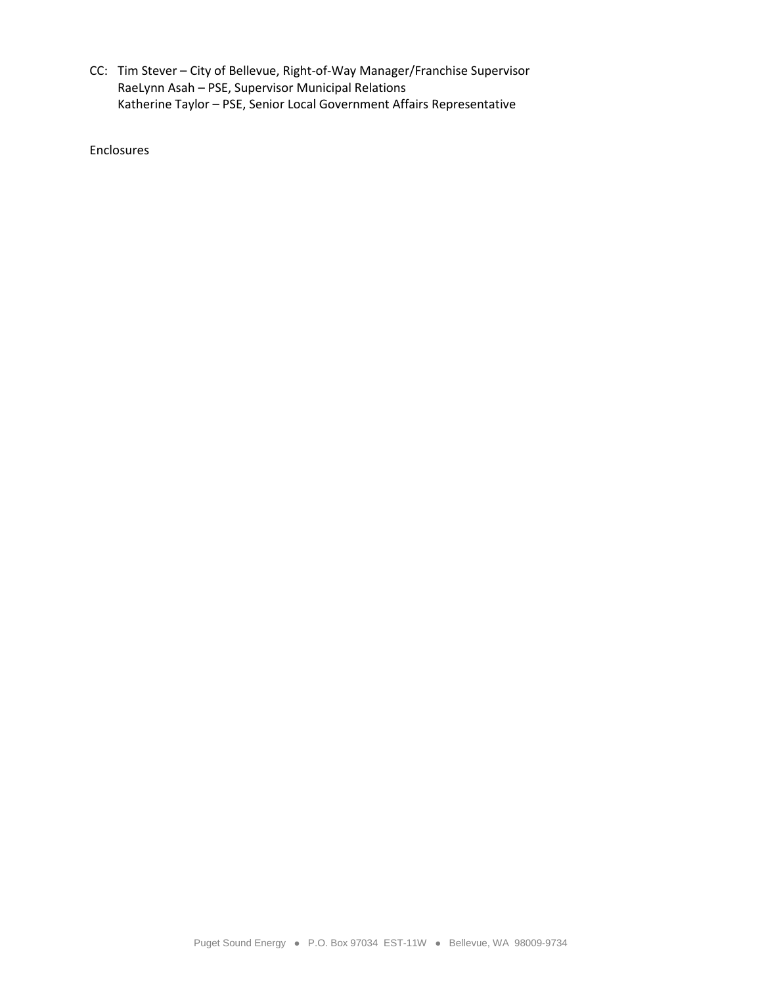CC: Tim Stever – City of Bellevue, Right-of-Way Manager/Franchise Supervisor RaeLynn Asah – PSE, Supervisor Municipal Relations Katherine Taylor – PSE, Senior Local Government Affairs Representative

Enclosures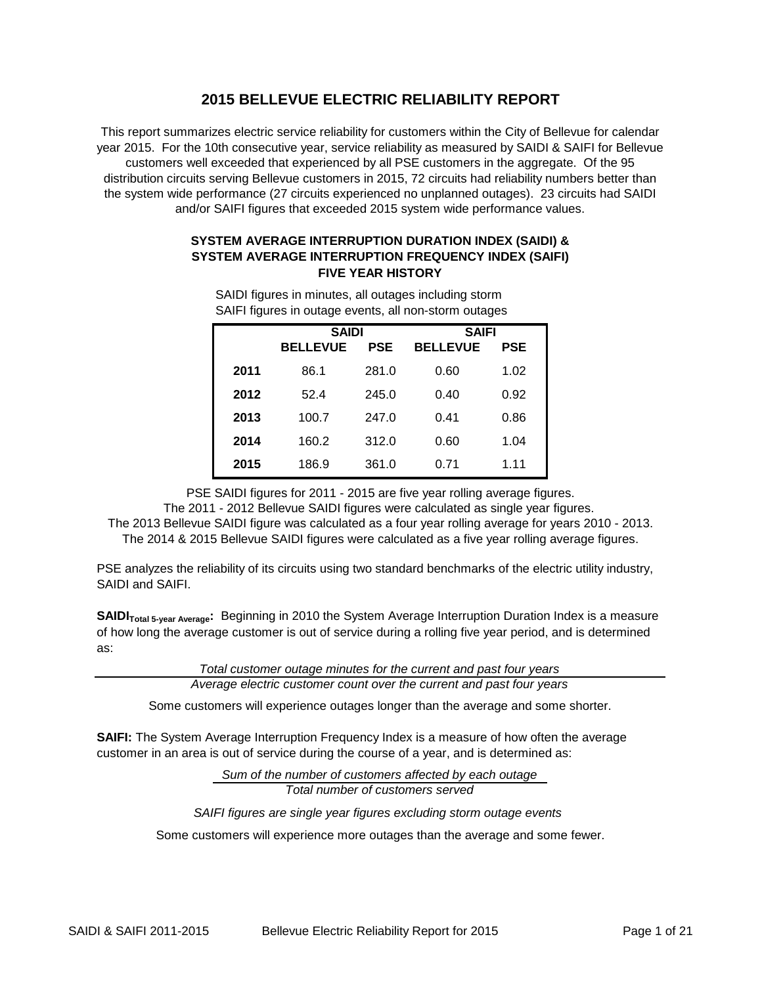# **2015 BELLEVUE ELECTRIC RELIABILITY REPORT**

This report summarizes electric service reliability for customers within the City of Bellevue for calendar year 2015. For the 10th consecutive year, service reliability as measured by SAIDI & SAIFI for Bellevue customers well exceeded that experienced by all PSE customers in the aggregate. Of the 95 distribution circuits serving Bellevue customers in 2015, 72 circuits had reliability numbers better than the system wide performance (27 circuits experienced no unplanned outages). 23 circuits had SAIDI and/or SAIFI figures that exceeded 2015 system wide performance values.

## **SYSTEM AVERAGE INTERRUPTION DURATION INDEX (SAIDI) & SYSTEM AVERAGE INTERRUPTION FREQUENCY INDEX (SAIFI) FIVE YEAR HISTORY**

| ້    |                 |       |                 |            |  |
|------|-----------------|-------|-----------------|------------|--|
|      | <b>SAIDI</b>    |       | <b>SAIFI</b>    |            |  |
|      | <b>BELLEVUE</b> | PSE   | <b>BELLEVUE</b> | <b>PSE</b> |  |
| 2011 | 86.1            | 281.0 | 0.60            | 1.02       |  |
| 2012 | 52.4            | 245.0 | 0.40            | 0.92       |  |
| 2013 | 100.7           | 247.0 | 0.41            | 0.86       |  |
| 2014 | 160.2           | 312.0 | 0.60            | 1.04       |  |
| 2015 | 186.9           | 361.0 | 0.71            | 1.11       |  |

SAIDI figures in minutes, all outages including storm SAIFI figures in outage events, all non-storm outages

PSE SAIDI figures for 2011 - 2015 are five year rolling average figures.

The 2011 - 2012 Bellevue SAIDI figures were calculated as single year figures. The 2013 Bellevue SAIDI figure was calculated as a four year rolling average for years 2010 - 2013. The 2014 & 2015 Bellevue SAIDI figures were calculated as a five year rolling average figures.

PSE analyzes the reliability of its circuits using two standard benchmarks of the electric utility industry, SAIDI and SAIFI.

**SAIDI<sub>Total 5-year Average:** Beginning in 2010 the System Average Interruption Duration Index is a measure</sub> of how long the average customer is out of service during a rolling five year period, and is determined as:

*Total customer outage minutes for the current and past four years*

*Average electric customer count over the current and past four years*

Some customers will experience outages longer than the average and some shorter.

**SAIFI:** The System Average Interruption Frequency Index is a measure of how often the average customer in an area is out of service during the course of a year, and is determined as:

> *Sum of the number of customers affected by each outage Total number of customers served*

*SAIFI figures are single year figures excluding storm outage events* 

Some customers will experience more outages than the average and some fewer.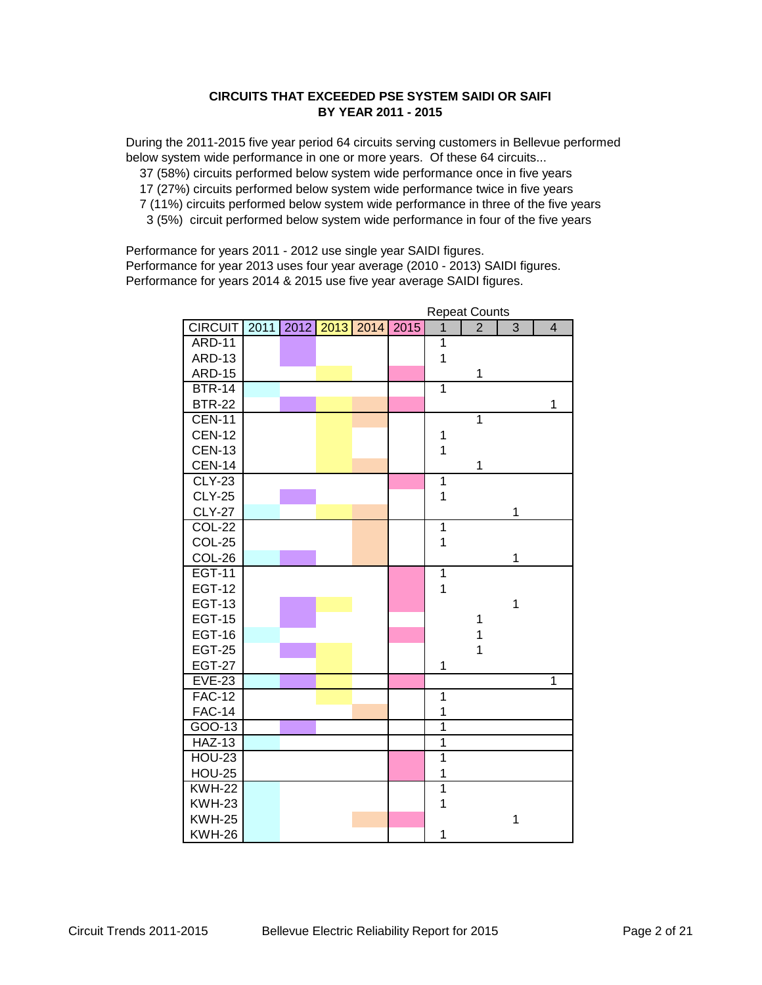## **CIRCUITS THAT EXCEEDED PSE SYSTEM SAIDI OR SAIFI BY YEAR 2011 - 2015**

During the 2011-2015 five year period 64 circuits serving customers in Bellevue performed below system wide performance in one or more years. Of these 64 circuits...

37 (58%) circuits performed below system wide performance once in five years

17 (27%) circuits performed below system wide performance twice in five years

- 7 (11%) circuits performed below system wide performance in three of the five years
- 3 (5%) circuit performed below system wide performance in four of the five years

Performance for years 2011 - 2012 use single year SAIDI figures. Performance for year 2013 uses four year average (2010 - 2013) SAIDI figures. Performance for years 2014 & 2015 use five year average SAIDI figures.

|                |      |      |      |      |      |                | Repeat Counts  |                |                |  |
|----------------|------|------|------|------|------|----------------|----------------|----------------|----------------|--|
| <b>CIRCUIT</b> | 2011 | 2012 | 2013 | 2014 | 2015 | $\overline{1}$ | $\overline{2}$ | $\overline{3}$ | $\overline{4}$ |  |
| <b>ARD-11</b>  |      |      |      |      |      | $\overline{1}$ |                |                |                |  |
| <b>ARD-13</b>  |      |      |      |      |      | $\mathbf{1}$   |                |                |                |  |
| <b>ARD-15</b>  |      |      |      |      |      |                | 1              |                |                |  |
| <b>BTR-14</b>  |      |      |      |      |      | $\overline{1}$ |                |                |                |  |
| <b>BTR-22</b>  |      |      |      |      |      |                |                |                | 1              |  |
| <b>CEN-11</b>  |      |      |      |      |      |                | $\overline{1}$ |                |                |  |
| <b>CEN-12</b>  |      |      |      |      |      | 1              |                |                |                |  |
| <b>CEN-13</b>  |      |      |      |      |      | $\mathbf{1}$   |                |                |                |  |
| <b>CEN-14</b>  |      |      |      |      |      |                | 1              |                |                |  |
| $CLY-23$       |      |      |      |      |      | $\overline{1}$ |                |                |                |  |
| <b>CLY-25</b>  |      |      |      |      |      | $\overline{1}$ |                |                |                |  |
| <b>CLY-27</b>  |      |      |      |      |      |                |                | 1              |                |  |
| <b>COL-22</b>  |      |      |      |      |      | $\overline{1}$ |                |                |                |  |
| <b>COL-25</b>  |      |      |      |      |      | $\mathbf 1$    |                |                |                |  |
| COL-26         |      |      |      |      |      |                |                | 1              |                |  |
| <b>EGT-11</b>  |      |      |      |      |      | $\overline{1}$ |                |                |                |  |
| <b>EGT-12</b>  |      |      |      |      |      | 1              |                |                |                |  |
| <b>EGT-13</b>  |      |      |      |      |      |                |                | $\mathbf 1$    |                |  |
| <b>EGT-15</b>  |      |      |      |      |      |                | 1              |                |                |  |
| <b>EGT-16</b>  |      |      |      |      |      |                | 1              |                |                |  |
| <b>EGT-25</b>  |      |      |      |      |      |                | $\overline{1}$ |                |                |  |
| <b>EGT-27</b>  |      |      |      |      |      | 1              |                |                |                |  |
| <b>EVE-23</b>  |      |      |      |      |      |                |                |                | 1              |  |
| <b>FAC-12</b>  |      |      |      |      |      | $\overline{1}$ |                |                |                |  |
| <b>FAC-14</b>  |      |      |      |      |      | 1              |                |                |                |  |
| GOO-13         |      |      |      |      |      | 1              |                |                |                |  |
| <b>HAZ-13</b>  |      |      |      |      |      | $\overline{1}$ |                |                |                |  |
| <b>HOU-23</b>  |      |      |      |      |      | $\overline{1}$ |                |                |                |  |
| <b>HOU-25</b>  |      |      |      |      |      | 1              |                |                |                |  |
| <b>KWH-22</b>  |      |      |      |      |      | $\overline{1}$ |                |                |                |  |
| <b>KWH-23</b>  |      |      |      |      |      | 1              |                |                |                |  |
| <b>KWH-25</b>  |      |      |      |      |      |                |                | $\mathbf 1$    |                |  |
| <b>KWH-26</b>  |      |      |      |      |      | 1              |                |                |                |  |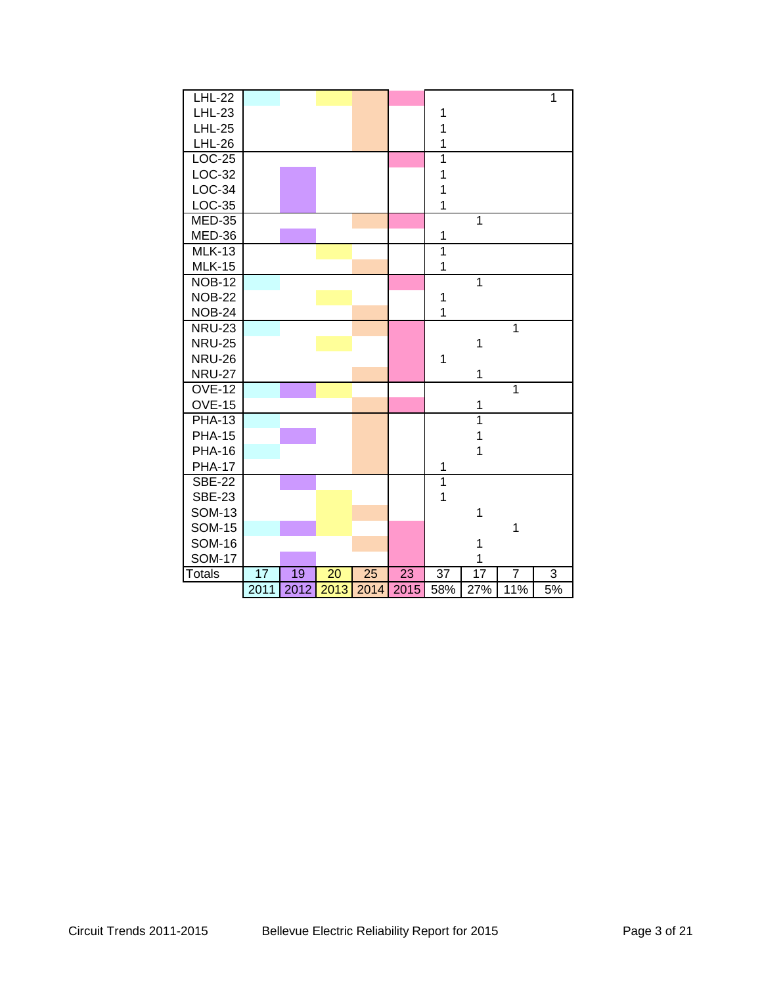| <b>LHL-22</b> |      |      |      |      |      |                |                 |                | $\mathbf{1}$ |
|---------------|------|------|------|------|------|----------------|-----------------|----------------|--------------|
| <b>LHL-23</b> |      |      |      |      |      | 1              |                 |                |              |
| <b>LHL-25</b> |      |      |      |      |      | 1              |                 |                |              |
| <b>LHL-26</b> |      |      |      |      |      | $\mathbf 1$    |                 |                |              |
| <b>LOC-25</b> |      |      |      |      |      | $\overline{1}$ |                 |                |              |
| LOC-32        |      |      |      |      |      | $\mathbf 1$    |                 |                |              |
| LOC-34        |      |      |      |      |      | $\mathbf 1$    |                 |                |              |
| LOC-35        |      |      |      |      |      | $\overline{1}$ |                 |                |              |
| $MED-35$      |      |      |      |      |      |                | $\overline{1}$  |                |              |
| MED-36        |      |      |      |      |      | 1              |                 |                |              |
| <b>MLK-13</b> |      |      |      |      |      | $\overline{1}$ |                 |                |              |
| <b>MLK-15</b> |      |      |      |      |      | $\mathbf 1$    |                 |                |              |
| <b>NOB-12</b> |      |      |      |      |      |                | $\overline{1}$  |                |              |
| <b>NOB-22</b> |      |      |      |      |      | $\mathbf 1$    |                 |                |              |
| <b>NOB-24</b> |      |      |      |      |      | $\overline{1}$ |                 |                |              |
| <b>NRU-23</b> |      |      |      |      |      |                |                 | $\overline{1}$ |              |
| <b>NRU-25</b> |      |      |      |      |      |                | $\mathbf 1$     |                |              |
| <b>NRU-26</b> |      |      |      |      |      | 1              |                 |                |              |
| <b>NRU-27</b> |      |      |      |      |      |                | $\mathbf 1$     |                |              |
| <b>OVE-12</b> |      |      |      |      |      |                |                 | $\overline{1}$ |              |
| <b>OVE-15</b> |      |      |      |      |      |                | 1               |                |              |
| <b>PHA-13</b> |      |      |      |      |      |                | $\overline{1}$  |                |              |
| <b>PHA-15</b> |      |      |      |      |      |                | $\mathbf{1}$    |                |              |
| <b>PHA-16</b> |      |      |      |      |      |                | 1               |                |              |
| <b>PHA-17</b> |      |      |      |      |      | 1              |                 |                |              |
| <b>SBE-22</b> |      |      |      |      |      | $\overline{1}$ |                 |                |              |
| <b>SBE-23</b> |      |      |      |      |      | $\overline{1}$ |                 |                |              |
| <b>SOM-13</b> |      |      |      |      |      |                | $\mathbf{1}$    |                |              |
| <b>SOM-15</b> |      |      |      |      |      |                |                 | $\mathbf{1}$   |              |
| <b>SOM-16</b> |      |      |      |      |      |                | 1               |                |              |
| <b>SOM-17</b> |      |      |      |      |      |                | 1               |                |              |
| <b>Totals</b> | 17   | 19   | 20   | 25   | 23   | 37             | $\overline{17}$ | $\overline{7}$ | 3            |
|               | 2011 | 2012 | 2013 | 2014 | 2015 | 58%            | 27%             | 11%            | 5%           |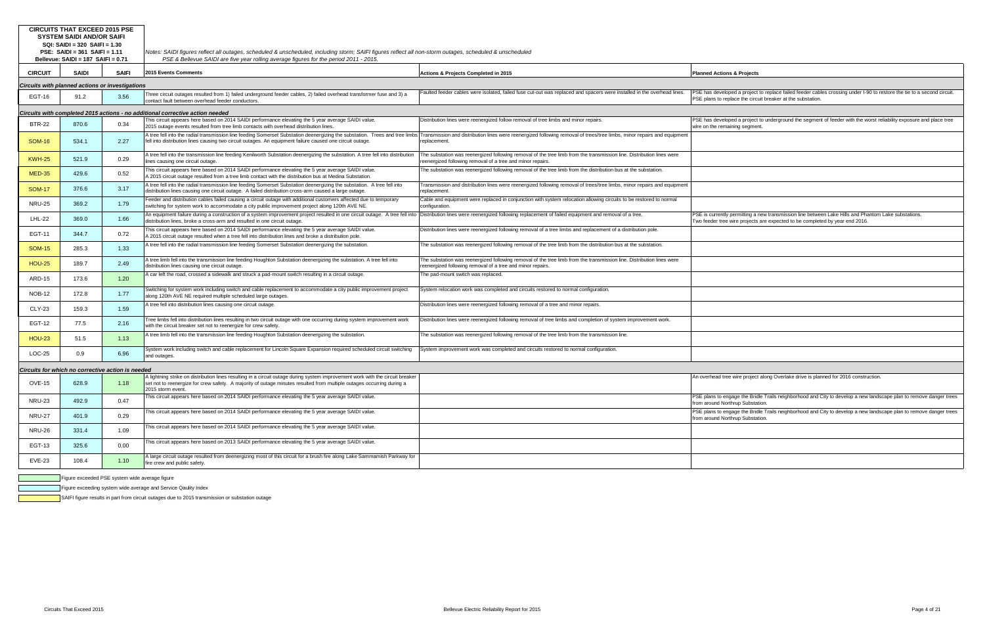| <b>CIRCUITS THAT EXCEED 2015 PSE</b><br><b>SYSTEM SAIDI AND/OR SAIFI</b><br>SQI: SAIDI = 320 SAIFI = 1.30<br>PSE: $SAIDI = 361$ $SAIFI = 1.11$<br>Bellevue: SAIDI = 187 SAIFI = 0.71 |                                                |              | Notes: SAIDI figures reflect all outages, scheduled & unscheduled, including storm; SAIFI figures reflect all non-storm outages, scheduled & unscheduled<br>PSE & Bellevue SAIDI are five year rolling average figures for the period 2011 - 2015.                                                          |                                                                                                                                                                                     |                                                                                                                                                                                        |  |  |  |  |  |  |
|--------------------------------------------------------------------------------------------------------------------------------------------------------------------------------------|------------------------------------------------|--------------|-------------------------------------------------------------------------------------------------------------------------------------------------------------------------------------------------------------------------------------------------------------------------------------------------------------|-------------------------------------------------------------------------------------------------------------------------------------------------------------------------------------|----------------------------------------------------------------------------------------------------------------------------------------------------------------------------------------|--|--|--|--|--|--|
| <b>CIRCUIT</b>                                                                                                                                                                       | <b>SAIDI</b>                                   | <b>SAIFI</b> | 2015 Events Comments                                                                                                                                                                                                                                                                                        | Actions & Projects Completed in 2015                                                                                                                                                | <b>Planned Actions &amp; Projects</b>                                                                                                                                                  |  |  |  |  |  |  |
| Circuits with planned actions or investigations                                                                                                                                      |                                                |              |                                                                                                                                                                                                                                                                                                             |                                                                                                                                                                                     |                                                                                                                                                                                        |  |  |  |  |  |  |
| EGT-16                                                                                                                                                                               | 91.2                                           | 3.56         | Three circuit outages resulted from 1) failed underground feeder cables, 2) failed overhead transformer fuse and 3) a<br>contact fault between overhead feeder conductors.                                                                                                                                  | Faulted feeder cables were isolated, failed fuse cut-out was replaced and spacers were installed in the overhead lines.                                                             | PSE has developed a project to replace failed feeder cables crossing under I-90 to restore the tie to a second circuit.<br>PSE plans to replace the circuit breaker at the substation. |  |  |  |  |  |  |
|                                                                                                                                                                                      |                                                |              | Circuits with completed 2015 actions - no additional corrective action needed                                                                                                                                                                                                                               |                                                                                                                                                                                     |                                                                                                                                                                                        |  |  |  |  |  |  |
| <b>BTR-22</b>                                                                                                                                                                        | 870.6                                          | 0.34         | This circuit appears here based on 2014 SAIDI performance elevating the 5 year average SAIDI value.<br>2015 outage events resulted from tree limb contacts with overhead distribution lines.                                                                                                                | Distribution lines were reenergized follow removal of tree limbs and minor repairs.                                                                                                 | PSE has developed a project to underground the segment of feeder with the worst reliability exposure and place tree<br>wire on the remaining segment.                                  |  |  |  |  |  |  |
| <b>SOM-16</b>                                                                                                                                                                        | 534.1                                          | 2.27         | A tree fell into the radial transmission line feeding Somerset Substation deenergizing the substation. Trees and tree limbs<br>fell into distribution lines causing two circuit outages. An equipment failure caused one circuit outage.                                                                    | Transmission and distribution lines were reenergized following removal of trees/tree limbs, minor repairs and equipment<br>replacement.                                             |                                                                                                                                                                                        |  |  |  |  |  |  |
| <b>KWH-25</b>                                                                                                                                                                        | 521.9                                          | 0.29         | A tree fell into the transmission line feeding Kenilworth Substation deenergizing the substation. A tree fell into distribution<br>lines causing one circuit outage.                                                                                                                                        | The substation was reenergized following removal of the tree limb from the transmission line. Distribution lines were<br>reenergized following removal of a tree and minor repairs. |                                                                                                                                                                                        |  |  |  |  |  |  |
| <b>MED-35</b>                                                                                                                                                                        | 429.6                                          | 0.52         | This circuit appears here based on 2014 SAIDI performance elevating the 5 year average SAIDI value.<br>A 2015 circuit outage resulted from a tree limb contact with the distribution bus at Medina Substation.                                                                                              | The substation was reenergized following removal of the tree limb from the distribution bus at the substation.                                                                      |                                                                                                                                                                                        |  |  |  |  |  |  |
| <b>SOM-17</b>                                                                                                                                                                        | 376.6                                          | 3.17         | A tree fell into the radial transmission line feeding Somerset Substation deenergizing the substation. A tree fell into<br>distribution lines causing one circuit outage. A failed distribution cross-arm caused a large outage.                                                                            | Transmission and distribution lines were reenergized following removal of trees/tree limbs, minor repairs and equipment<br>replacement                                              |                                                                                                                                                                                        |  |  |  |  |  |  |
| <b>NRU-25</b>                                                                                                                                                                        | 369.2                                          | 1.79         | Feeder and distribution cables failed causing a circuit outage with additional customers affected due to temporary<br>switching for system work to accommodate a city public improvement project along 120th AVE NE.                                                                                        | Cable and equipment were replaced in conjunction with system relocation allowing circuits to be restored to normal<br>configuration.                                                |                                                                                                                                                                                        |  |  |  |  |  |  |
| LHL-22                                                                                                                                                                               | 369.0                                          | 1.66         | An equipment failure during a construction of a system improvement project resulted in one circuit outage. A tree fell into Distribution lines were reenergized following replacement of failed equipment and removal of a tre<br>distribution lines, broke a cross-arm and resulted in one circuit outage. |                                                                                                                                                                                     | PSE is currently permitting a new transmission line between Lake Hills and Phantom Lake substations.<br>Two feeder tree wire projects are expected to be completed by year end 2016.   |  |  |  |  |  |  |
| EGT-11                                                                                                                                                                               | 344.7                                          | 0.72         | This circuit appears here based on 2014 SAIDI performance elevating the 5 year average SAIDI value.<br>A 2015 circuit outage resulted when a tree fell into distribution lines and broke a distribution pole.                                                                                               | Distribution lines were reenergized following removal of a tree limbs and replacement of a distribution pole.                                                                       |                                                                                                                                                                                        |  |  |  |  |  |  |
| <b>SOM-15</b>                                                                                                                                                                        | 285.3                                          | 1.33         | A tree fell into the radial transmission line feeding Somerset Substation deenergizing the substation.                                                                                                                                                                                                      | The substation was reenergized following removal of the tree limb from the distribution bus at the substation.                                                                      |                                                                                                                                                                                        |  |  |  |  |  |  |
| <b>HOU-25</b>                                                                                                                                                                        | 189.7                                          | 2.49         | A tree limb fell into the transmission line feeding Houghton Substation deenergizing the substation. A tree fell into<br>distribution lines causing one circuit outage.                                                                                                                                     | The substation was reenergized following removal of the tree limb from the transmission line. Distribution lines were<br>reenergized following removal of a tree and minor repairs. |                                                                                                                                                                                        |  |  |  |  |  |  |
| ARD-15                                                                                                                                                                               | 173.6                                          | 1.20         | A car left the road, crossed a sidewalk and struck a pad-mount switch resulting in a circuit outage.                                                                                                                                                                                                        | The pad-mount switch was replaced.                                                                                                                                                  |                                                                                                                                                                                        |  |  |  |  |  |  |
| <b>NOB-12</b>                                                                                                                                                                        | 172.8                                          | 1.77         | Switching for system work including switch and cable replacement to accommodate a city public improvement project<br>along 120th AVE NE required multiple scheduled large outages.                                                                                                                          | System relocation work was completed and circuits restored to normal configuration.                                                                                                 |                                                                                                                                                                                        |  |  |  |  |  |  |
| CLY-23                                                                                                                                                                               | 159.3                                          | 1.59         | A tree fell into distribution lines causing one circuit outage.                                                                                                                                                                                                                                             | Distribution lines were reenergized following removal of a tree and minor repairs.                                                                                                  |                                                                                                                                                                                        |  |  |  |  |  |  |
| EGT-12                                                                                                                                                                               | 77.5                                           | 2.16         | Tree limbs fell into distribution lines resulting in two circuit outage with one occurring during system improvement work<br>with the circuit breaker set not to reenergize for crew safety.                                                                                                                | Distribution lines were reenergized following removal of tree limbs and completion of system improvement work.                                                                      |                                                                                                                                                                                        |  |  |  |  |  |  |
| <b>HOU-23</b>                                                                                                                                                                        | 51.5                                           | 1.13         | A tree limb fell into the transmission line feeding Houghton Substation deenergizing the substation.                                                                                                                                                                                                        | The substation was reenergized following removal of the tree limb from the transmission line.                                                                                       |                                                                                                                                                                                        |  |  |  |  |  |  |
| $LOC-25$                                                                                                                                                                             | 0.9                                            | 6.96         | System work including switch and cable replacement for Lincoln Square Expansion required scheduled circuit switching<br>and outages.                                                                                                                                                                        | System improvement work was completed and circuits restored to normal configuration.                                                                                                |                                                                                                                                                                                        |  |  |  |  |  |  |
| Circuits for which no corrective action is needed                                                                                                                                    |                                                |              |                                                                                                                                                                                                                                                                                                             |                                                                                                                                                                                     |                                                                                                                                                                                        |  |  |  |  |  |  |
| <b>OVE-15</b>                                                                                                                                                                        | 628.9                                          |              | A lightning strike on distribution lines resulting in a circuit outage during system improvement work with the circuit breaker<br>set not to reenergize for crew safety. A majority of outage minutes resulted from multiple outages occurring during a<br>2015 storm event.                                |                                                                                                                                                                                     | An overhead tree wire project along Overlake drive is planned for 2016 construction.                                                                                                   |  |  |  |  |  |  |
| <b>NRU-23</b>                                                                                                                                                                        | 492.9                                          | 0.47         | This circuit appears here based on 2014 SAIDI performance elevating the 5 year average SAIDI value.                                                                                                                                                                                                         |                                                                                                                                                                                     | PSE plans to engage the Bridle Trails neighborhood and City to develop a new landscape plan to remove danger trees<br>from around Northrup Substation.                                 |  |  |  |  |  |  |
| <b>NRU-27</b>                                                                                                                                                                        | 401.9                                          | 0.29         | This circuit appears here based on 2014 SAIDI performance elevating the 5 year average SAIDI value.                                                                                                                                                                                                         |                                                                                                                                                                                     | PSE plans to engage the Bridle Trails neighborhood and City to develop a new landscape plan to remove danger trees<br>from around Northrup Substation.                                 |  |  |  |  |  |  |
| <b>NRU-26</b>                                                                                                                                                                        | 331.4                                          | 1.09         | This circuit appears here based on 2014 SAIDI performance elevating the 5 year average SAIDI value.                                                                                                                                                                                                         |                                                                                                                                                                                     |                                                                                                                                                                                        |  |  |  |  |  |  |
| EGT-13                                                                                                                                                                               | 325.6                                          | 0.00         | This circuit appears here based on 2013 SAIDI performance elevating the 5 year average SAIDI value.                                                                                                                                                                                                         |                                                                                                                                                                                     |                                                                                                                                                                                        |  |  |  |  |  |  |
| EVE-23                                                                                                                                                                               | 108.4                                          | 1.10         | A large circuit outage resulted from deenergizing most of this circuit for a brush fire along Lake Sammamish Parkway for<br>fire crew and public safety.                                                                                                                                                    |                                                                                                                                                                                     |                                                                                                                                                                                        |  |  |  |  |  |  |
|                                                                                                                                                                                      | Figure exceeded PSE system wide average figure |              |                                                                                                                                                                                                                                                                                                             |                                                                                                                                                                                     |                                                                                                                                                                                        |  |  |  |  |  |  |

Figure exceeding system wide average and Service Qaulity Index

SAIFI figure results in part from circuit outages due to 2015 transmission or substation outage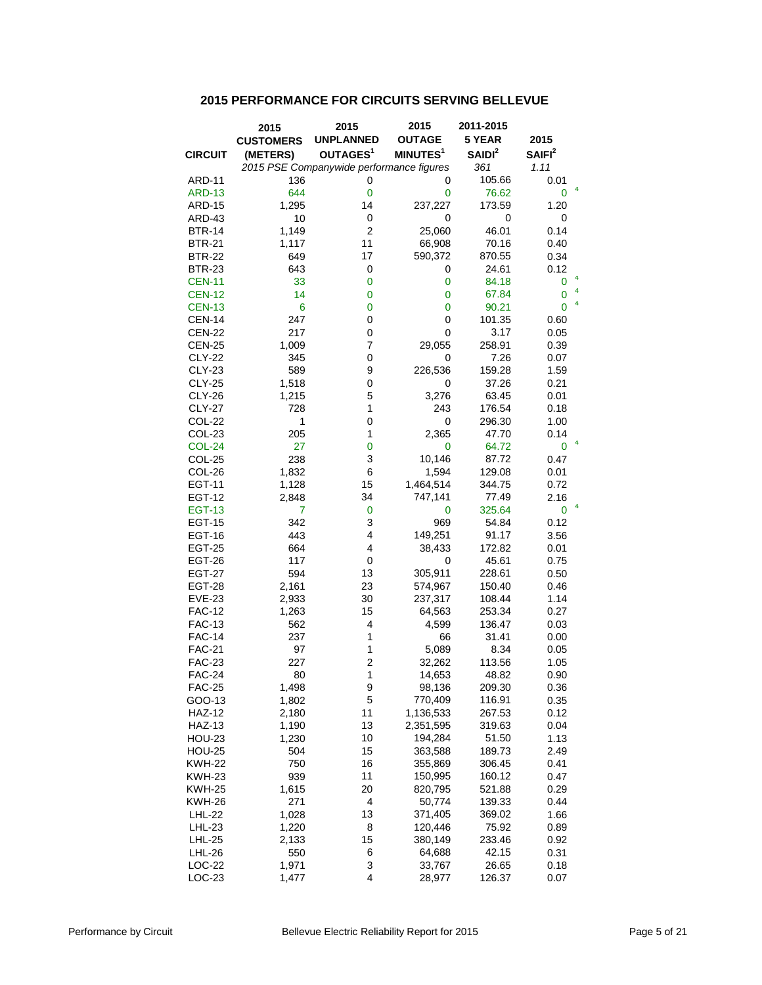## **2015 PERFORMANCE FOR CIRCUITS SERVING BELLEVUE**

|                                | 2015             | 2015                                     | 2015                 | 2011-2015          |                    |
|--------------------------------|------------------|------------------------------------------|----------------------|--------------------|--------------------|
|                                | <b>CUSTOMERS</b> | <b>UNPLANNED</b>                         | <b>OUTAGE</b>        | 5 YEAR             | 2015               |
| <b>CIRCUIT</b>                 | (METERS)         | OUTAGES <sup>1</sup>                     | MINUTES <sup>1</sup> | SAIDI <sup>2</sup> | SAIFI <sup>2</sup> |
|                                |                  | 2015 PSE Companywide performance figures |                      | 361                | 1.11               |
| ARD-11                         | 136              | 0                                        | 0                    | 105.66             | 0.01               |
| <b>ARD-13</b>                  | 644              | $\mathbf 0$                              | 0                    | 76.62              | 4<br>0             |
| <b>ARD-15</b>                  | 1,295            | 14                                       | 237,227              | 173.59             | 1.20               |
| ARD-43                         | 10               | 0                                        | 0                    | 0                  | 0                  |
| <b>BTR-14</b>                  | 1,149            | $\overline{2}$                           | 25,060               | 46.01              | 0.14               |
| <b>BTR-21</b>                  | 1,117            | 11                                       | 66,908               | 70.16              | 0.40               |
| <b>BTR-22</b>                  | 649              | 17                                       | 590,372              | 870.55             | 0.34               |
| <b>BTR-23</b>                  | 643              | 0                                        | 0                    | 24.61              | 0.12               |
| <b>CEN-11</b>                  | 33               | 0                                        | 0                    | 84.18              | 4<br>0<br>4        |
| <b>CEN-12</b>                  | 14               | $\overline{0}$                           | $\mathbf 0$          | 67.84              | 0                  |
| <b>CEN-13</b>                  | 6                | $\overline{0}$                           | 0                    | 90.21              | 4<br>0             |
| <b>CEN-14</b>                  | 247              | 0                                        | 0                    | 101.35             | 0.60               |
| <b>CEN-22</b>                  | 217              | 0                                        | 0                    | 3.17               | 0.05               |
| <b>CEN-25</b>                  | 1,009            | 7                                        | 29,055               | 258.91             | 0.39               |
| <b>CLY-22</b>                  | 345              | 0                                        | 0                    | 7.26               | 0.07               |
| <b>CLY-23</b>                  | 589              | 9                                        | 226,536              | 159.28             | 1.59               |
| <b>CLY-25</b>                  | 1,518            | 0                                        | 0                    | 37.26              | 0.21               |
| <b>CLY-26</b>                  | 1,215            | 5                                        | 3,276                | 63.45              | 0.01               |
| <b>CLY-27</b>                  | 728              | $\mathbf{1}$                             | 243                  | 176.54             | 0.18               |
| <b>COL-22</b>                  | $\mathbf{1}$     | 0                                        | 0                    | 296.30             | 1.00               |
| COL-23                         | 205              | 1                                        | 2,365                | 47.70              | 0.14<br>4          |
| <b>COL-24</b>                  | 27               | $\overline{0}$                           | 0                    | 64.72              | 0                  |
| COL-25                         | 238              | 3                                        | 10,146               | 87.72              | 0.47               |
| COL-26                         | 1,832            | 6                                        | 1,594                | 129.08             | 0.01               |
| <b>EGT-11</b>                  | 1,128            | 15                                       | 1,464,514            | 344.75             | 0.72               |
| <b>EGT-12</b>                  | 2,848            | 34                                       | 747,141              | 77.49<br>325.64    | 2.16<br>4<br>0     |
| <b>EGT-13</b><br><b>EGT-15</b> | 7<br>342         | 0<br>3                                   | 0<br>969             | 54.84              |                    |
| EGT-16                         | 443              | 4                                        | 149,251              | 91.17              | 0.12<br>3.56       |
| <b>EGT-25</b>                  | 664              | 4                                        | 38,433               | 172.82             | 0.01               |
| <b>EGT-26</b>                  | 117              | 0                                        | 0                    | 45.61              | 0.75               |
| <b>EGT-27</b>                  | 594              | 13                                       | 305,911              | 228.61             | 0.50               |
| <b>EGT-28</b>                  | 2,161            | 23                                       | 574,967              | 150.40             | 0.46               |
| <b>EVE-23</b>                  | 2,933            | 30                                       | 237,317              | 108.44             | 1.14               |
| <b>FAC-12</b>                  | 1,263            | 15                                       | 64,563               | 253.34             | 0.27               |
| <b>FAC-13</b>                  | 562              | 4                                        | 4,599                | 136.47             | 0.03               |
| <b>FAC-14</b>                  | 237              | 1                                        | 66                   | 31.41              | 0.00               |
| <b>FAC-21</b>                  | 97               | 1                                        | 5,089                | 8.34               | 0.05               |
| <b>FAC-23</b>                  | 227              | $\overline{c}$                           | 32,262               | 113.56             | 1.05               |
| <b>FAC-24</b>                  | 80               | 1                                        | 14,653               | 48.82              | 0.90               |
| <b>FAC-25</b>                  | 1,498            | 9                                        | 98,136               | 209.30             | 0.36               |
| GOO-13                         | 1,802            | 5                                        | 770,409              | 116.91             | 0.35               |
| <b>HAZ-12</b>                  | 2,180            | 11                                       | 1,136,533            | 267.53             | 0.12               |
| <b>HAZ-13</b>                  | 1,190            | 13                                       | 2,351,595            | 319.63             | 0.04               |
| <b>HOU-23</b>                  | 1,230            | 10                                       | 194,284              | 51.50              | 1.13               |
| <b>HOU-25</b>                  | 504              | 15                                       | 363,588              | 189.73             | 2.49               |
| <b>KWH-22</b>                  | 750              | 16                                       | 355,869              | 306.45             | 0.41               |
| KWH-23                         | 939              | 11                                       | 150,995              | 160.12             | 0.47               |
| <b>KWH-25</b>                  | 1,615            | 20                                       | 820,795              | 521.88             | 0.29               |
| KWH-26                         | 271              | 4                                        | 50,774               | 139.33             | 0.44               |
| LHL-22                         | 1,028            | 13                                       | 371,405              | 369.02             | 1.66               |
| LHL-23                         | 1,220            | 8                                        | 120,446              | 75.92              | 0.89               |
| <b>LHL-25</b>                  | 2,133            | 15                                       | 380,149              | 233.46             | 0.92               |
| <b>LHL-26</b>                  | 550              | 6                                        | 64,688               | 42.15              | 0.31               |
| LOC-22                         | 1,971            | 3                                        | 33,767               | 26.65              | 0.18               |
| $LOC-23$                       | 1,477            | 4                                        | 28,977               | 126.37             | 0.07               |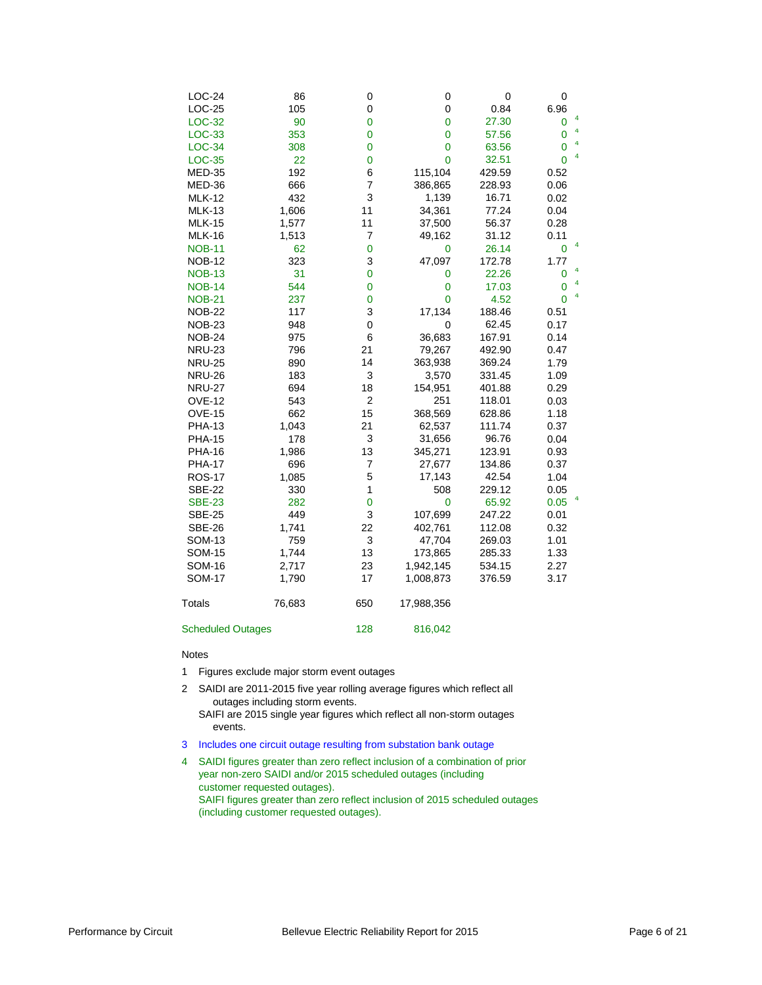| LOC-24                   | 86     | 0              | 0                          | 0      | 0            |
|--------------------------|--------|----------------|----------------------------|--------|--------------|
| $LOC-25$                 | 105    | 0              | 0                          | 0.84   | 6.96<br>4    |
| LOC-32                   | 90     | $\overline{0}$ | $\mathbf 0$<br>$\mathbf 0$ | 27.30  | 0<br>4       |
| LOC-33                   | 353    | 0              |                            | 57.56  | 0<br>4       |
| LOC-34                   | 308    | $\overline{0}$ | $\mathbf 0$                | 63.56  | 0<br>4       |
| <b>LOC-35</b>            | 22     | 0              | $\overline{0}$             | 32.51  | $\mathbf{0}$ |
| <b>MED-35</b>            | 192    | 6              | 115,104                    | 429.59 | 0.52         |
| <b>MED-36</b>            | 666    | 7              | 386,865                    | 228.93 | 0.06         |
| <b>MLK-12</b>            | 432    | 3              | 1,139                      | 16.71  | 0.02         |
| <b>MLK-13</b>            | 1,606  | 11             | 34,361                     | 77.24  | 0.04         |
| <b>MLK-15</b>            | 1,577  | 11             | 37,500                     | 56.37  | 0.28         |
| <b>MLK-16</b>            | 1,513  | 7              | 49,162                     | 31.12  | 0.11<br>4    |
| <b>NOB-11</b>            | 62     | 0              | 0                          | 26.14  | 0            |
| <b>NOB-12</b>            | 323    | 3              | 47,097                     | 172.78 | 1.77         |
| <b>NOB-13</b>            | 31     | $\overline{0}$ | 0                          | 22.26  | 4<br>0       |
| <b>NOB-14</b>            | 544    | $\overline{0}$ | $\mathbf 0$                | 17.03  | 4<br>0       |
| <b>NOB-21</b>            | 237    | $\mathbf 0$    | 0                          | 4.52   | 4<br>0       |
| <b>NOB-22</b>            | 117    | 3              | 17,134                     | 188.46 | 0.51         |
| <b>NOB-23</b>            | 948    | $\mathbf 0$    | 0                          | 62.45  | 0.17         |
| <b>NOB-24</b>            | 975    | 6              | 36,683                     | 167.91 | 0.14         |
| <b>NRU-23</b>            | 796    | 21             | 79,267                     | 492.90 | 0.47         |
| <b>NRU-25</b>            | 890    | 14             | 363,938                    | 369.24 | 1.79         |
| <b>NRU-26</b>            | 183    | 3              | 3,570                      | 331.45 | 1.09         |
| <b>NRU-27</b>            | 694    | 18             | 154,951                    | 401.88 | 0.29         |
| <b>OVE-12</b>            | 543    | $\overline{c}$ | 251                        | 118.01 | 0.03         |
| <b>OVE-15</b>            | 662    | 15             | 368,569                    | 628.86 | 1.18         |
| <b>PHA-13</b>            | 1,043  | 21             | 62,537                     | 111.74 | 0.37         |
| <b>PHA-15</b>            | 178    | 3              | 31,656                     | 96.76  | 0.04         |
| <b>PHA-16</b>            | 1,986  | 13             | 345,271                    | 123.91 | 0.93         |
| <b>PHA-17</b>            | 696    | $\overline{7}$ | 27,677                     | 134.86 | 0.37         |
| <b>ROS-17</b>            | 1,085  | 5              | 17,143                     | 42.54  | 1.04         |
| <b>SBE-22</b>            | 330    | 1              | 508                        | 229.12 | 0.05         |
| <b>SBE-23</b>            | 282    | $\mathbf 0$    | $\overline{0}$             | 65.92  | 4<br>0.05    |
| <b>SBE-25</b>            | 449    | 3              | 107,699                    | 247.22 | 0.01         |
| <b>SBE-26</b>            | 1,741  | 22             | 402,761                    | 112.08 | 0.32         |
| <b>SOM-13</b>            | 759    | 3              | 47,704                     | 269.03 | 1.01         |
| <b>SOM-15</b>            | 1,744  | 13             | 173,865                    | 285.33 | 1.33         |
| <b>SOM-16</b>            | 2,717  | 23             | 1,942,145                  | 534.15 | 2.27         |
| <b>SOM-17</b>            | 1,790  | 17             | 1,008,873                  | 376.59 | 3.17         |
|                          |        |                |                            |        |              |
| Totals                   | 76,683 | 650            | 17,988,356                 |        |              |
| <b>Scheduled Outages</b> |        | 128            | 816,042                    |        |              |

### Notes

- 1 Figures exclude major storm event outages
- 2 SAIDI are 2011-2015 five year rolling average figures which reflect all outages including storm events.
	- SAIFI are 2015 single year figures which reflect all non-storm outages events.
- 3 Includes one circuit outage resulting from substation bank outage
- 4 SAIDI figures greater than zero reflect inclusion of a combination of prior year non-zero SAIDI and/or 2015 scheduled outages (including customer requested outages). SAIFI figures greater than zero reflect inclusion of 2015 scheduled outages (including customer requested outages).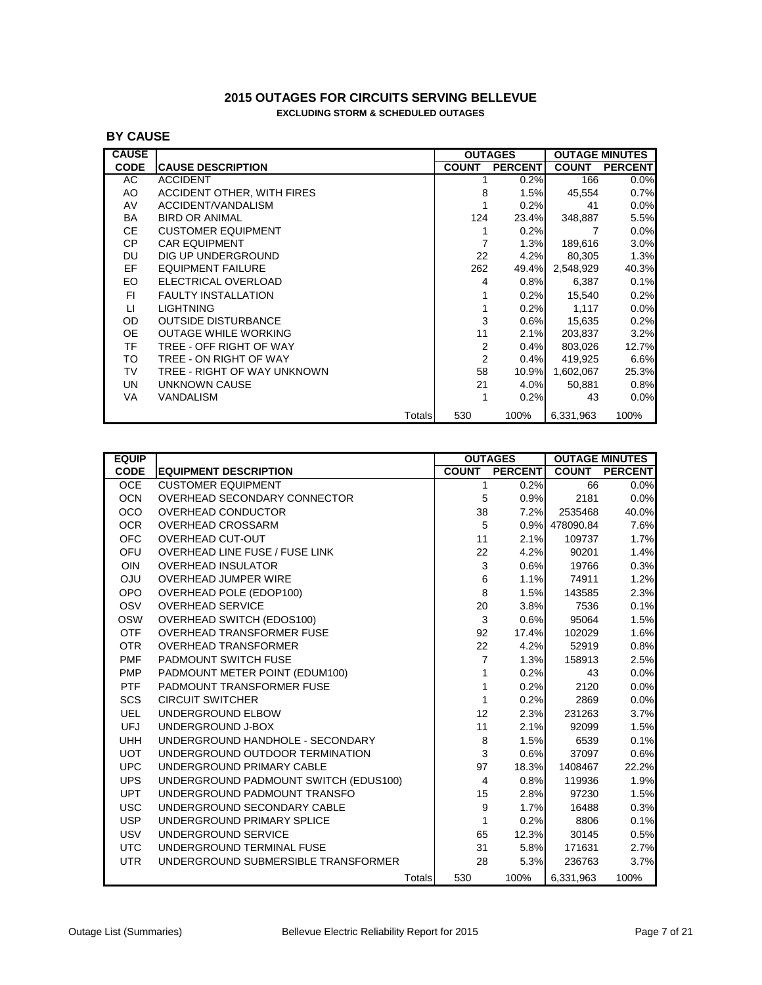## **2015 OUTAGES FOR CIRCUITS SERVING BELLEVUE EXCLUDING STORM & SCHEDULED OUTAGES**

## **BY CAUSE**

| <b>CAUSE</b> |                             |              | <b>OUTAGES</b> |              | <b>OUTAGE MINUTES</b> |
|--------------|-----------------------------|--------------|----------------|--------------|-----------------------|
| <b>CODE</b>  | <b>CAUSE DESCRIPTION</b>    | <b>COUNT</b> | <b>PERCENT</b> | <b>COUNT</b> | <b>PERCENT</b>        |
| AC           | <b>ACCIDENT</b>             |              | 0.2%           | 166          | 0.0%                  |
| AO           | ACCIDENT OTHER, WITH FIRES  | 8            | 1.5%           | 45,554       | 0.7%                  |
| AV           | ACCIDENT/VANDALISM          |              | 0.2%           | 41           | 0.0%                  |
| BA           | BIRD OR ANIMAL              | 124          | 23.4%          | 348,887      | 5.5%                  |
| CE.          | <b>CUSTOMER EQUIPMENT</b>   |              | 0.2%           | 7            | 0.0%                  |
| <b>CP</b>    | <b>CAR EQUIPMENT</b>        | 7            | 1.3%           | 189,616      | 3.0%                  |
| DU           | DIG UP UNDERGROUND          | 22           | 4.2%           | 80,305       | 1.3%                  |
| EF.          | <b>EQUIPMENT FAILURE</b>    | 262          | 49.4%          | 2,548,929    | 40.3%                 |
| EO.          | ELECTRICAL OVERLOAD         | 4            | 0.8%           | 6,387        | 0.1%                  |
| FI.          | <b>FAULTY INSTALLATION</b>  |              | 0.2%           | 15,540       | 0.2%                  |
| $\sqcup$     | <b>LIGHTNING</b>            |              | 0.2%           | 1,117        | 0.0%                  |
| OD.          | <b>OUTSIDE DISTURBANCE</b>  | 3            | 0.6%           | 15,635       | 0.2%                  |
| <b>OE</b>    | <b>OUTAGE WHILE WORKING</b> | 11           | 2.1%           | 203,837      | 3.2%                  |
| TF.          | TREE - OFF RIGHT OF WAY     | 2            | 0.4%           | 803,026      | 12.7%                 |
| TO           | TREE - ON RIGHT OF WAY      | 2            | 0.4%           | 419,925      | 6.6%                  |
| TV           | TREE - RIGHT OF WAY UNKNOWN | 58           | 10.9%          | 1,602,067    | 25.3%                 |
| <b>UN</b>    | UNKNOWN CAUSE               | 21           | 4.0%           | 50,881       | 0.8%                  |
| VA           | VANDALISM                   | 1            | 0.2%           | 43           | 0.0%                  |
|              | Totals                      | 530          | 100%           | 6,331,963    | 100%                  |

| <b>EQUIP</b> |                                       |                           | <b>OUTAGES</b> |                | <b>OUTAGE MINUTES</b> |
|--------------|---------------------------------------|---------------------------|----------------|----------------|-----------------------|
| <b>CODE</b>  | <b>EQUIPMENT DESCRIPTION</b>          | <b>COUNT</b>              | <b>PERCENT</b> | <b>COUNT</b>   | <b>PERCENT</b>        |
| <b>OCE</b>   | <b>CUSTOMER EQUIPMENT</b>             | 1                         | 0.2%           | 66             | 0.0%                  |
| <b>OCN</b>   | OVERHEAD SECONDARY CONNECTOR          | 5                         | 0.9%           | 2181           | 0.0%                  |
| <b>OCO</b>   | OVERHEAD CONDUCTOR                    | 38                        | 7.2%           | 2535468        | 40.0%                 |
| <b>OCR</b>   | <b>OVERHEAD CROSSARM</b>              | 5                         |                | 0.9% 478090.84 | 7.6%                  |
| <b>OFC</b>   | <b>OVERHEAD CUT-OUT</b>               | 11                        | 2.1%           | 109737         | 1.7%                  |
| OFU          | OVERHEAD LINE FUSE / FUSE LINK        | 22                        | 4.2%           | 90201          | 1.4%                  |
| <b>OIN</b>   | <b>OVERHEAD INSULATOR</b>             | $\ensuremath{\mathsf{3}}$ | 0.6%           | 19766          | 0.3%                  |
| <b>ULO</b>   | <b>OVERHEAD JUMPER WIRE</b>           | 6                         | 1.1%           | 74911          | 1.2%                  |
| OPO          | OVERHEAD POLE (EDOP100)               | 8                         | 1.5%           | 143585         | 2.3%                  |
| OSV          | <b>OVERHEAD SERVICE</b>               | 20                        | 3.8%           | 7536           | 0.1%                  |
| <b>OSW</b>   | OVERHEAD SWITCH (EDOS100)             | 3                         | 0.6%           | 95064          | 1.5%                  |
| <b>OTF</b>   | <b>OVERHEAD TRANSFORMER FUSE</b>      | 92                        | 17.4%          | 102029         | 1.6%                  |
| <b>OTR</b>   | <b>OVERHEAD TRANSFORMER</b>           | 22                        | 4.2%           | 52919          | 0.8%                  |
| <b>PMF</b>   | PADMOUNT SWITCH FUSE                  | 7                         | 1.3%           | 158913         | 2.5%                  |
| <b>PMP</b>   | PADMOUNT METER POINT (EDUM100)        | 1                         | 0.2%           | 43             | 0.0%                  |
| <b>PTF</b>   | PADMOUNT TRANSFORMER FUSE             | 1                         | 0.2%           | 2120           | 0.0%                  |
| <b>SCS</b>   | <b>CIRCUIT SWITCHER</b>               | 1                         | 0.2%           | 2869           | 0.0%                  |
| <b>UEL</b>   | UNDERGROUND ELBOW                     | 12                        | 2.3%           | 231263         | 3.7%                  |
| <b>UFJ</b>   | UNDERGROUND J-BOX                     | 11                        | 2.1%           | 92099          | 1.5%                  |
| <b>UHH</b>   | UNDERGROUND HANDHOLE - SECONDARY      | 8                         | 1.5%           | 6539           | 0.1%                  |
| <b>UOT</b>   | UNDERGROUND OUTDOOR TERMINATION       | 3                         | 0.6%           | 37097          | 0.6%                  |
| <b>UPC</b>   | UNDERGROUND PRIMARY CABLE             | 97                        | 18.3%          | 1408467        | 22.2%                 |
| <b>UPS</b>   | UNDERGROUND PADMOUNT SWITCH (EDUS100) | $\overline{\mathbf{4}}$   | 0.8%           | 119936         | 1.9%                  |
| UPT          | UNDERGROUND PADMOUNT TRANSFO          | 15                        | 2.8%           | 97230          | 1.5%                  |
| <b>USC</b>   | UNDERGROUND SECONDARY CABLE           | 9                         | 1.7%           | 16488          | 0.3%                  |
| <b>USP</b>   | UNDERGROUND PRIMARY SPLICE            | 1                         | 0.2%           | 8806           | 0.1%                  |
| <b>USV</b>   | UNDERGROUND SERVICE                   | 65                        | 12.3%          | 30145          | 0.5%                  |
| <b>UTC</b>   | UNDERGROUND TERMINAL FUSE             | 31                        | 5.8%           | 171631         | 2.7%                  |
| <b>UTR</b>   | UNDERGROUND SUBMERSIBLE TRANSFORMER   | 28                        | 5.3%           | 236763         | 3.7%                  |
|              | Totals                                | 530                       | 100%           | 6,331,963      | 100%                  |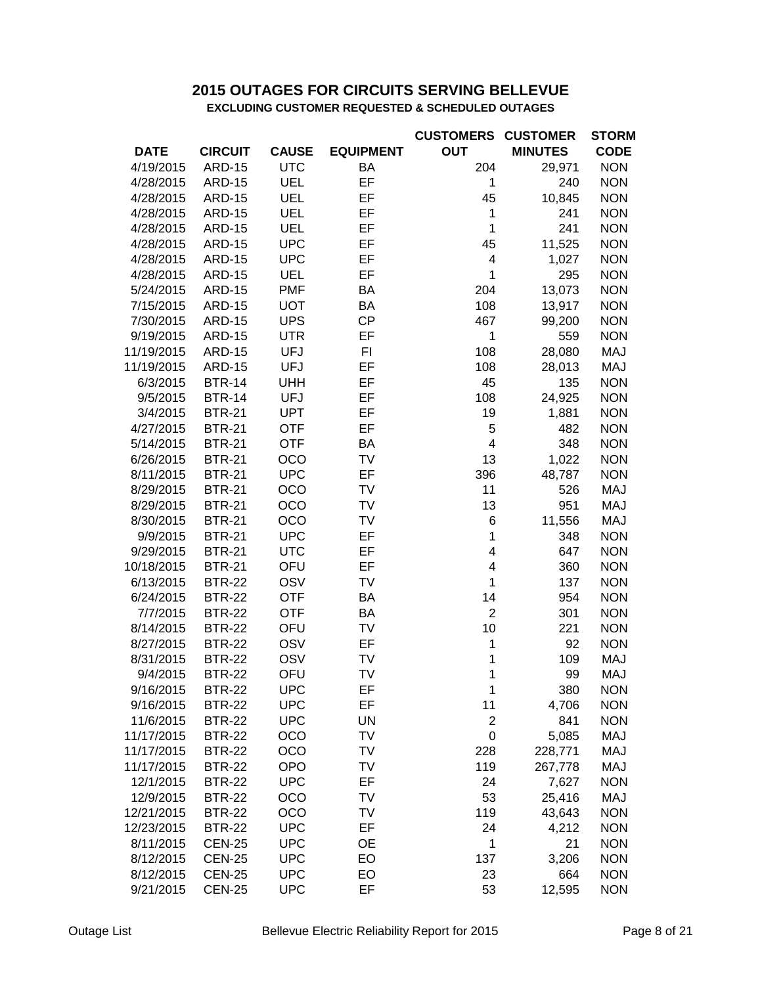## **EXCLUDING CUSTOMER REQUESTED & SCHEDULED OUTAGES 2015 OUTAGES FOR CIRCUITS SERVING BELLEVUE**

|             |                |              |                  | <b>CUSTOMERS</b> | <b>CUSTOMER</b> | <b>STORM</b> |
|-------------|----------------|--------------|------------------|------------------|-----------------|--------------|
| <b>DATE</b> | <b>CIRCUIT</b> | <b>CAUSE</b> | <b>EQUIPMENT</b> | <b>OUT</b>       | <b>MINUTES</b>  | <b>CODE</b>  |
| 4/19/2015   | <b>ARD-15</b>  | <b>UTC</b>   | BA               | 204              | 29,971          | <b>NON</b>   |
| 4/28/2015   | <b>ARD-15</b>  | UEL          | EF               | 1                | 240             | <b>NON</b>   |
| 4/28/2015   | <b>ARD-15</b>  | UEL          | EF               | 45               | 10,845          | <b>NON</b>   |
| 4/28/2015   | <b>ARD-15</b>  | UEL          | EF               | 1                | 241             | <b>NON</b>   |
| 4/28/2015   | <b>ARD-15</b>  | <b>UEL</b>   | EF               | 1                | 241             | <b>NON</b>   |
| 4/28/2015   | <b>ARD-15</b>  | <b>UPC</b>   | EF               | 45               | 11,525          | <b>NON</b>   |
| 4/28/2015   | <b>ARD-15</b>  | <b>UPC</b>   | EF               | 4                | 1,027           | <b>NON</b>   |
| 4/28/2015   | <b>ARD-15</b>  | <b>UEL</b>   | EF               | 1                | 295             | <b>NON</b>   |
| 5/24/2015   | <b>ARD-15</b>  | <b>PMF</b>   | BA               | 204              | 13,073          | <b>NON</b>   |
| 7/15/2015   | <b>ARD-15</b>  | <b>UOT</b>   | BA               | 108              | 13,917          | <b>NON</b>   |
| 7/30/2015   | <b>ARD-15</b>  | <b>UPS</b>   | <b>CP</b>        | 467              | 99,200          | <b>NON</b>   |
| 9/19/2015   | <b>ARD-15</b>  | <b>UTR</b>   | EF               | 1                | 559             | <b>NON</b>   |
| 11/19/2015  | <b>ARD-15</b>  | <b>UFJ</b>   | FI               | 108              | 28,080          | MAJ          |
| 11/19/2015  | <b>ARD-15</b>  | <b>UFJ</b>   | EF               | 108              | 28,013          | MAJ          |
| 6/3/2015    | <b>BTR-14</b>  | <b>UHH</b>   | EF               | 45               | 135             | <b>NON</b>   |
| 9/5/2015    | <b>BTR-14</b>  | <b>UFJ</b>   | EF               | 108              | 24,925          | <b>NON</b>   |
| 3/4/2015    | <b>BTR-21</b>  | <b>UPT</b>   | EF               | 19               | 1,881           | <b>NON</b>   |
| 4/27/2015   | <b>BTR-21</b>  | <b>OTF</b>   | EF               | 5                | 482             | <b>NON</b>   |
| 5/14/2015   | <b>BTR-21</b>  | <b>OTF</b>   | BA               | 4                | 348             | <b>NON</b>   |
| 6/26/2015   | <b>BTR-21</b>  | OCO          | TV               | 13               | 1,022           | <b>NON</b>   |
| 8/11/2015   | <b>BTR-21</b>  | <b>UPC</b>   | EF               | 396              | 48,787          | <b>NON</b>   |
| 8/29/2015   | <b>BTR-21</b>  | <b>OCO</b>   | TV               | 11               | 526             | <b>MAJ</b>   |
| 8/29/2015   | <b>BTR-21</b>  | <b>OCO</b>   | TV               | 13               | 951             | <b>MAJ</b>   |
| 8/30/2015   | <b>BTR-21</b>  | <b>OCO</b>   | TV               | 6                | 11,556          | <b>MAJ</b>   |
| 9/9/2015    | <b>BTR-21</b>  | <b>UPC</b>   | EF               | 1                | 348             | <b>NON</b>   |
| 9/29/2015   | <b>BTR-21</b>  | <b>UTC</b>   | EF               | 4                | 647             | <b>NON</b>   |
| 10/18/2015  | <b>BTR-21</b>  | OFU          | EF               | 4                | 360             | <b>NON</b>   |
| 6/13/2015   | <b>BTR-22</b>  | <b>OSV</b>   | TV               | 1                | 137             | <b>NON</b>   |
| 6/24/2015   | <b>BTR-22</b>  | <b>OTF</b>   | BA               | 14               | 954             | <b>NON</b>   |
| 7/7/2015    | <b>BTR-22</b>  | <b>OTF</b>   | BA               | $\overline{2}$   | 301             | <b>NON</b>   |
| 8/14/2015   | <b>BTR-22</b>  | OFU          | TV               | 10               | 221             | <b>NON</b>   |
| 8/27/2015   | <b>BTR-22</b>  | OSV          | EF               | 1                | 92              | <b>NON</b>   |
| 8/31/2015   | <b>BTR-22</b>  | OSV          | TV               | 1                | 109             | <b>MAJ</b>   |
| 9/4/2015    | <b>BTR-22</b>  | OFU          | TV               | 1                | 99              | <b>MAJ</b>   |
| 9/16/2015   | <b>BTR-22</b>  | <b>UPC</b>   | EF               | 1                | 380             | <b>NON</b>   |
| 9/16/2015   | <b>BTR-22</b>  | <b>UPC</b>   | EF               | 11               | 4,706           | <b>NON</b>   |
| 11/6/2015   | <b>BTR-22</b>  | <b>UPC</b>   | UN               | $\overline{c}$   | 841             | <b>NON</b>   |
| 11/17/2015  | <b>BTR-22</b>  | <b>OCO</b>   | TV               | 0                | 5,085           | <b>MAJ</b>   |
| 11/17/2015  | <b>BTR-22</b>  | <b>OCO</b>   | TV               | 228              |                 | <b>MAJ</b>   |
|             | <b>BTR-22</b>  |              |                  |                  | 228,771         |              |
| 11/17/2015  |                | <b>OPO</b>   | TV               | 119              | 267,778         | <b>MAJ</b>   |
| 12/1/2015   | <b>BTR-22</b>  | <b>UPC</b>   | EF               | 24               | 7,627           | <b>NON</b>   |
| 12/9/2015   | <b>BTR-22</b>  | OCO          | TV               | 53               | 25,416          | <b>MAJ</b>   |
| 12/21/2015  | <b>BTR-22</b>  | OCO          | TV               | 119              | 43,643          | <b>NON</b>   |
| 12/23/2015  | <b>BTR-22</b>  | <b>UPC</b>   | EF               | 24               | 4,212           | <b>NON</b>   |
| 8/11/2015   | <b>CEN-25</b>  | <b>UPC</b>   | <b>OE</b>        | 1                | 21              | <b>NON</b>   |
| 8/12/2015   | <b>CEN-25</b>  | <b>UPC</b>   | EO               | 137              | 3,206           | <b>NON</b>   |
| 8/12/2015   | <b>CEN-25</b>  | <b>UPC</b>   | EO               | 23               | 664             | <b>NON</b>   |
| 9/21/2015   | <b>CEN-25</b>  | <b>UPC</b>   | EF               | 53               | 12,595          | <b>NON</b>   |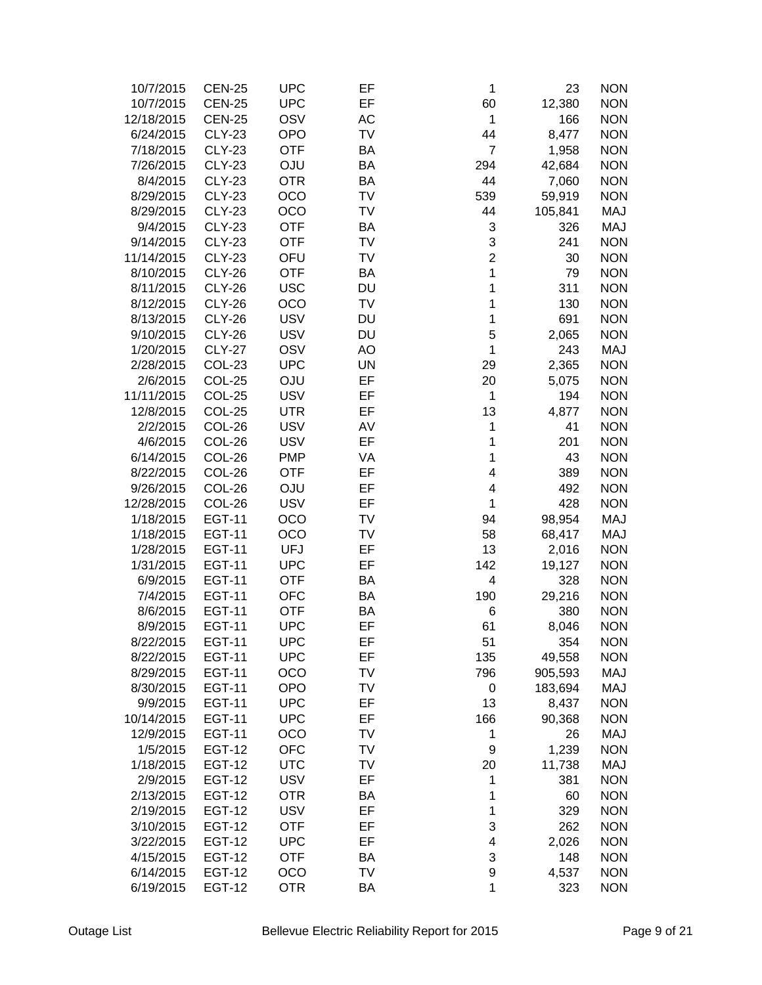| 10/7/2015  | <b>CEN-25</b> | <b>UPC</b> | EF        | 1              | 23      | <b>NON</b> |
|------------|---------------|------------|-----------|----------------|---------|------------|
| 10/7/2015  | <b>CEN-25</b> | <b>UPC</b> | EF        | 60             | 12,380  | <b>NON</b> |
| 12/18/2015 | <b>CEN-25</b> | OSV        | AC        | 1              | 166     | <b>NON</b> |
| 6/24/2015  | <b>CLY-23</b> | <b>OPO</b> | TV        | 44             | 8,477   | <b>NON</b> |
| 7/18/2015  | <b>CLY-23</b> | <b>OTF</b> | BA        | $\overline{7}$ | 1,958   | <b>NON</b> |
| 7/26/2015  | <b>CLY-23</b> | <b>OJU</b> | BA        | 294            | 42,684  | <b>NON</b> |
| 8/4/2015   | <b>CLY-23</b> | <b>OTR</b> | <b>BA</b> | 44             | 7,060   | <b>NON</b> |
| 8/29/2015  | <b>CLY-23</b> | OCO        | TV        | 539            | 59,919  | <b>NON</b> |
| 8/29/2015  | <b>CLY-23</b> | OCO        | TV        | 44             | 105,841 | MAJ        |
| 9/4/2015   | <b>CLY-23</b> | <b>OTF</b> | BA        | 3              | 326     | <b>MAJ</b> |
| 9/14/2015  | <b>CLY-23</b> | <b>OTF</b> | TV        | 3              |         | <b>NON</b> |
|            |               |            |           | $\overline{2}$ | 241     |            |
| 11/14/2015 | <b>CLY-23</b> | OFU        | TV        |                | 30      | <b>NON</b> |
| 8/10/2015  | <b>CLY-26</b> | <b>OTF</b> | BA        | 1              | 79      | <b>NON</b> |
| 8/11/2015  | <b>CLY-26</b> | <b>USC</b> | <b>DU</b> | 1              | 311     | <b>NON</b> |
| 8/12/2015  | <b>CLY-26</b> | OCO        | TV        | 1              | 130     | <b>NON</b> |
| 8/13/2015  | <b>CLY-26</b> | <b>USV</b> | DU        | 1              | 691     | <b>NON</b> |
| 9/10/2015  | <b>CLY-26</b> | <b>USV</b> | DU        | 5              | 2,065   | <b>NON</b> |
| 1/20/2015  | <b>CLY-27</b> | OSV        | AO        | 1              | 243     | <b>MAJ</b> |
| 2/28/2015  | COL-23        | <b>UPC</b> | <b>UN</b> | 29             | 2,365   | <b>NON</b> |
| 2/6/2015   | COL-25        | <b>OJU</b> | EF        | 20             | 5,075   | <b>NON</b> |
| 11/11/2015 | COL-25        | <b>USV</b> | EF        | 1              | 194     | <b>NON</b> |
| 12/8/2015  | COL-25        | <b>UTR</b> | EF        | 13             | 4,877   | <b>NON</b> |
| 2/2/2015   | COL-26        | <b>USV</b> | AV        | 1              | 41      | <b>NON</b> |
| 4/6/2015   | COL-26        | <b>USV</b> | EF        | 1              | 201     | <b>NON</b> |
| 6/14/2015  | COL-26        | <b>PMP</b> | VA        | 1              | 43      | <b>NON</b> |
| 8/22/2015  | COL-26        | <b>OTF</b> | EF        | 4              | 389     | <b>NON</b> |
| 9/26/2015  | COL-26        | OJU        | EF        | 4              | 492     | <b>NON</b> |
| 12/28/2015 | COL-26        | <b>USV</b> | EF        | 1              | 428     | <b>NON</b> |
| 1/18/2015  | <b>EGT-11</b> | OCO        | TV        | 94             | 98,954  | MAJ        |
| 1/18/2015  | <b>EGT-11</b> | OCO        | TV        | 58             | 68,417  | MAJ        |
| 1/28/2015  | <b>EGT-11</b> | <b>UFJ</b> | EF        | 13             | 2,016   | <b>NON</b> |
| 1/31/2015  | <b>EGT-11</b> | <b>UPC</b> | EF        | 142            | 19,127  | <b>NON</b> |
| 6/9/2015   | <b>EGT-11</b> | <b>OTF</b> | BA        | 4              | 328     | <b>NON</b> |
| 7/4/2015   | <b>EGT-11</b> | <b>OFC</b> | BA        | 190            | 29,216  | <b>NON</b> |
| 8/6/2015   | <b>EGT-11</b> | <b>OTF</b> | BA        | 6              | 380     | <b>NON</b> |
| 8/9/2015   | <b>EGT-11</b> | <b>UPC</b> | EF        | 61             | 8,046   | <b>NON</b> |
| 8/22/2015  | <b>EGT-11</b> | UPC        | EF        | 51             | 354     | <b>NON</b> |
| 8/22/2015  | <b>EGT-11</b> | <b>UPC</b> | EF        | 135            | 49,558  | <b>NON</b> |
| 8/29/2015  | <b>EGT-11</b> | OCO        | TV        | 796            | 905,593 | MAJ        |
| 8/30/2015  | <b>EGT-11</b> | <b>OPO</b> | TV        | 0              | 183,694 | MAJ        |
| 9/9/2015   | <b>EGT-11</b> | <b>UPC</b> | EF        | 13             | 8,437   | <b>NON</b> |
| 10/14/2015 | <b>EGT-11</b> | <b>UPC</b> | EF        | 166            | 90,368  | <b>NON</b> |
| 12/9/2015  | <b>EGT-11</b> | OCO        | TV        | 1              | 26      | <b>MAJ</b> |
| 1/5/2015   | <b>EGT-12</b> | <b>OFC</b> | TV        | 9              |         | <b>NON</b> |
|            |               |            |           |                | 1,239   |            |
| 1/18/2015  | <b>EGT-12</b> | <b>UTC</b> | TV        | 20             | 11,738  | MAJ        |
| 2/9/2015   | <b>EGT-12</b> | <b>USV</b> | EF        | 1              | 381     | <b>NON</b> |
| 2/13/2015  | <b>EGT-12</b> | <b>OTR</b> | ΒA        | 1              | 60      | <b>NON</b> |
| 2/19/2015  | <b>EGT-12</b> | <b>USV</b> | EF        | 1              | 329     | <b>NON</b> |
| 3/10/2015  | <b>EGT-12</b> | <b>OTF</b> | EF        | 3              | 262     | <b>NON</b> |
| 3/22/2015  | <b>EGT-12</b> | <b>UPC</b> | EF        | 4              | 2,026   | <b>NON</b> |
| 4/15/2015  | <b>EGT-12</b> | <b>OTF</b> | ΒA        | 3              | 148     | <b>NON</b> |
| 6/14/2015  | <b>EGT-12</b> | OCO        | TV        | 9              | 4,537   | <b>NON</b> |
| 6/19/2015  | <b>EGT-12</b> | <b>OTR</b> | ΒA        | 1              | 323     | <b>NON</b> |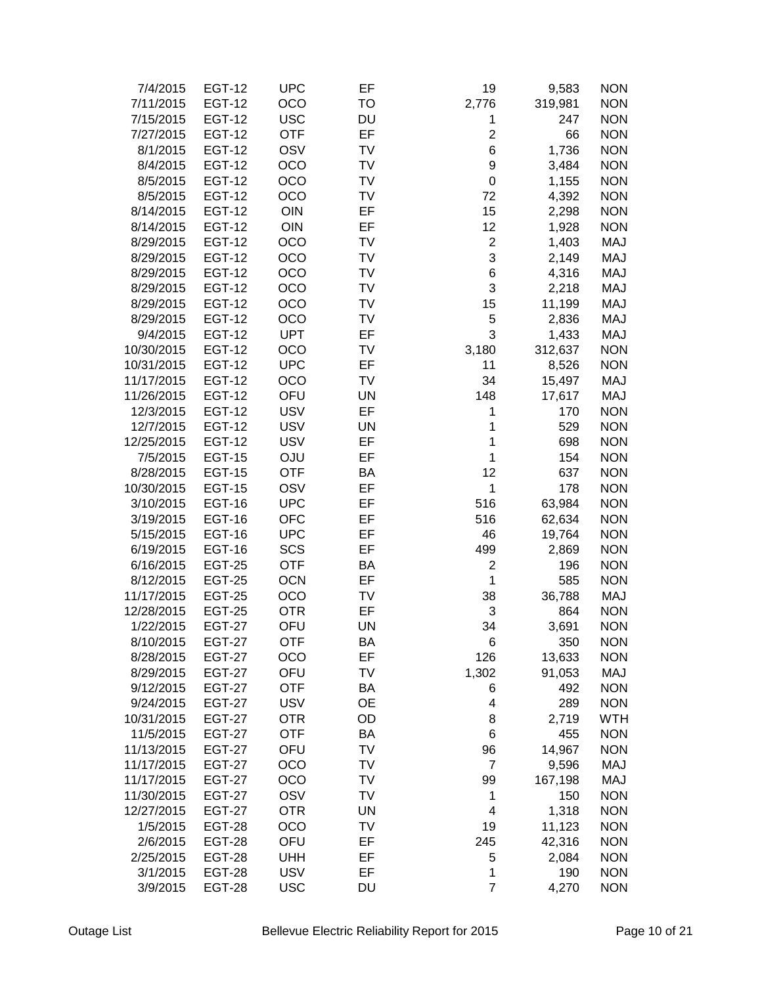| 7/4/2015   | <b>EGT-12</b> | <b>UPC</b> | EF        | 19                      | 9,583   | <b>NON</b> |
|------------|---------------|------------|-----------|-------------------------|---------|------------|
| 7/11/2015  | <b>EGT-12</b> | OCO        | TO        | 2,776                   | 319,981 | <b>NON</b> |
| 7/15/2015  | <b>EGT-12</b> | <b>USC</b> | <b>DU</b> | 1                       | 247     | <b>NON</b> |
| 7/27/2015  | <b>EGT-12</b> | <b>OTF</b> | EF        | $\overline{\mathbf{c}}$ | 66      | <b>NON</b> |
| 8/1/2015   | <b>EGT-12</b> | OSV        | TV        | 6                       | 1,736   | <b>NON</b> |
| 8/4/2015   | <b>EGT-12</b> | OCO        | TV        | $\boldsymbol{9}$        | 3,484   | <b>NON</b> |
| 8/5/2015   | <b>EGT-12</b> | OCO        | TV        | $\mathbf 0$             | 1,155   | <b>NON</b> |
| 8/5/2015   | <b>EGT-12</b> | OCO        | TV        | 72                      | 4,392   | <b>NON</b> |
| 8/14/2015  | <b>EGT-12</b> | OIN        | EF        | 15                      | 2,298   | <b>NON</b> |
| 8/14/2015  | <b>EGT-12</b> | OIN        | EF        | 12                      | 1,928   | <b>NON</b> |
| 8/29/2015  | <b>EGT-12</b> | OCO        | TV        | $\boldsymbol{2}$        | 1,403   | MAJ        |
|            |               | OCO        | TV        | 3                       |         | MAJ        |
| 8/29/2015  | <b>EGT-12</b> |            |           |                         | 2,149   |            |
| 8/29/2015  | <b>EGT-12</b> | OCO        | TV        | 6                       | 4,316   | MAJ        |
| 8/29/2015  | <b>EGT-12</b> | OCO        | TV        | 3                       | 2,218   | <b>MAJ</b> |
| 8/29/2015  | <b>EGT-12</b> | OCO        | TV        | 15                      | 11,199  | <b>MAJ</b> |
| 8/29/2015  | <b>EGT-12</b> | OCO        | TV        | 5                       | 2,836   | <b>MAJ</b> |
| 9/4/2015   | <b>EGT-12</b> | <b>UPT</b> | EF        | 3                       | 1,433   | MAJ        |
| 10/30/2015 | <b>EGT-12</b> | OCO        | TV        | 3,180                   | 312,637 | <b>NON</b> |
| 10/31/2015 | <b>EGT-12</b> | <b>UPC</b> | EF        | 11                      | 8,526   | <b>NON</b> |
| 11/17/2015 | <b>EGT-12</b> | OCO        | TV        | 34                      | 15,497  | <b>MAJ</b> |
| 11/26/2015 | <b>EGT-12</b> | OFU        | <b>UN</b> | 148                     | 17,617  | MAJ        |
| 12/3/2015  | <b>EGT-12</b> | <b>USV</b> | EF        | 1                       | 170     | <b>NON</b> |
| 12/7/2015  | <b>EGT-12</b> | <b>USV</b> | <b>UN</b> | 1                       | 529     | <b>NON</b> |
| 12/25/2015 | <b>EGT-12</b> | <b>USV</b> | EF        | 1                       | 698     | <b>NON</b> |
| 7/5/2015   | <b>EGT-15</b> | <b>OJU</b> | EF        | 1                       | 154     | <b>NON</b> |
| 8/28/2015  | <b>EGT-15</b> | <b>OTF</b> | BA        | 12                      | 637     | <b>NON</b> |
| 10/30/2015 | <b>EGT-15</b> | OSV        | EF        | 1                       | 178     | <b>NON</b> |
| 3/10/2015  | <b>EGT-16</b> | <b>UPC</b> | EF        | 516                     | 63,984  | <b>NON</b> |
| 3/19/2015  | <b>EGT-16</b> | <b>OFC</b> | EF        | 516                     | 62,634  | <b>NON</b> |
| 5/15/2015  | <b>EGT-16</b> | <b>UPC</b> | EF        | 46                      | 19,764  | <b>NON</b> |
| 6/19/2015  | <b>EGT-16</b> | SCS        | EF        | 499                     | 2,869   | <b>NON</b> |
| 6/16/2015  | <b>EGT-25</b> | <b>OTF</b> | BA        | $\overline{2}$          | 196     | <b>NON</b> |
| 8/12/2015  | <b>EGT-25</b> | <b>OCN</b> | EF        | $\mathbf{1}$            | 585     | <b>NON</b> |
| 11/17/2015 | <b>EGT-25</b> | OCO        | TV        | 38                      | 36,788  | MAJ        |
| 12/28/2015 | <b>EGT-25</b> | <b>OTR</b> | EF        | 3                       | 864     | <b>NON</b> |
| 1/22/2015  | <b>EGT-27</b> | OFU        | <b>UN</b> | 34                      | 3,691   | <b>NON</b> |
| 8/10/2015  | EGT-27        | OTF        | ВA        | 6                       | 350     | <b>NON</b> |
| 8/28/2015  | <b>EGT-27</b> | OCO        | EF        | 126                     | 13,633  | <b>NON</b> |
| 8/29/2015  | <b>EGT-27</b> | OFU        | TV        | 1,302                   | 91,053  | MAJ        |
| 9/12/2015  | <b>EGT-27</b> | <b>OTF</b> | BA        | 6                       | 492     | <b>NON</b> |
| 9/24/2015  | <b>EGT-27</b> | <b>USV</b> | <b>OE</b> | 4                       | 289     | <b>NON</b> |
| 10/31/2015 | <b>EGT-27</b> | <b>OTR</b> | OD        | 8                       | 2,719   | <b>WTH</b> |
| 11/5/2015  | <b>EGT-27</b> | <b>OTF</b> | <b>BA</b> | 6                       | 455     | <b>NON</b> |
| 11/13/2015 |               |            |           |                         |         |            |
|            | <b>EGT-27</b> | OFU        | TV        | 96                      | 14,967  | <b>NON</b> |
| 11/17/2015 | <b>EGT-27</b> | OCO        | TV        | $\overline{7}$          | 9,596   | MAJ        |
| 11/17/2015 | <b>EGT-27</b> | OCO        | TV        | 99                      | 167,198 | <b>MAJ</b> |
| 11/30/2015 | <b>EGT-27</b> | OSV        | TV        | 1                       | 150     | <b>NON</b> |
| 12/27/2015 | <b>EGT-27</b> | <b>OTR</b> | <b>UN</b> | $\overline{\mathbf{4}}$ | 1,318   | <b>NON</b> |
| 1/5/2015   | <b>EGT-28</b> | OCO        | TV        | 19                      | 11,123  | <b>NON</b> |
| 2/6/2015   | <b>EGT-28</b> | OFU        | EF        | 245                     | 42,316  | <b>NON</b> |
| 2/25/2015  | <b>EGT-28</b> | <b>UHH</b> | EF        | 5                       | 2,084   | <b>NON</b> |
| 3/1/2015   | <b>EGT-28</b> | <b>USV</b> | EF        | 1                       | 190     | <b>NON</b> |
| 3/9/2015   | <b>EGT-28</b> | <b>USC</b> | DU        | $\overline{7}$          | 4,270   | <b>NON</b> |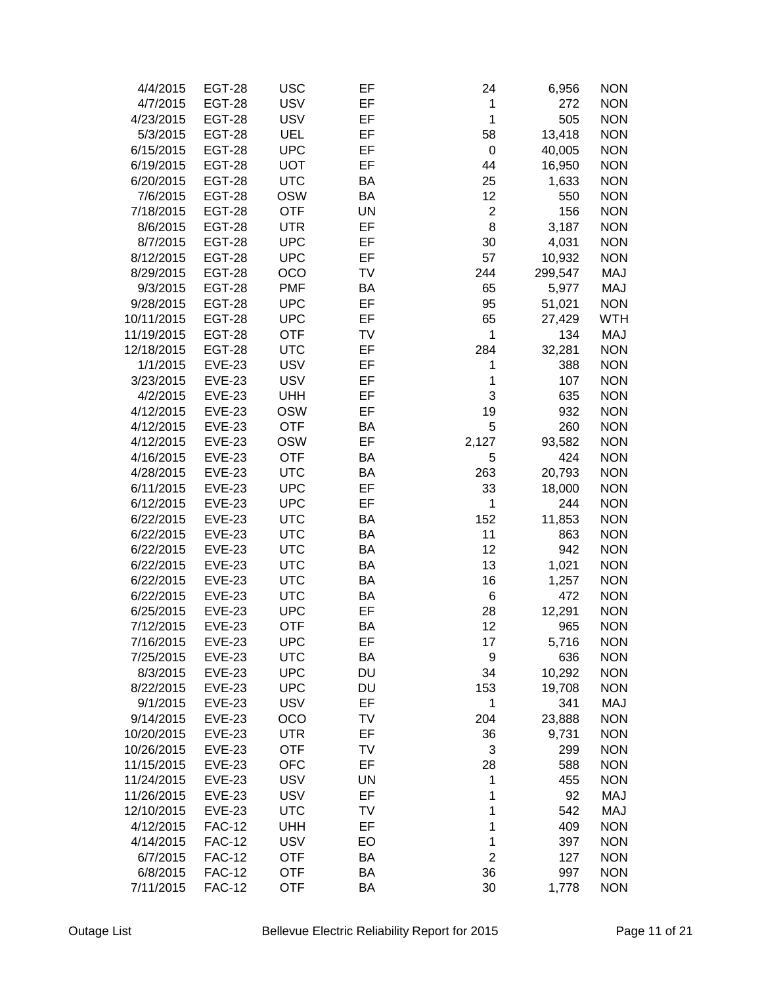| 4/4/2015   | <b>EGT-28</b> | <b>USC</b> | EF        | 24               | 6,956   | <b>NON</b> |
|------------|---------------|------------|-----------|------------------|---------|------------|
| 4/7/2015   | <b>EGT-28</b> | <b>USV</b> | EF        | $\mathbf 1$      | 272     | <b>NON</b> |
| 4/23/2015  | <b>EGT-28</b> | <b>USV</b> | EF        | $\mathbf{1}$     | 505     | <b>NON</b> |
| 5/3/2015   | <b>EGT-28</b> | UEL        | EF        | 58               | 13,418  | <b>NON</b> |
| 6/15/2015  | <b>EGT-28</b> | <b>UPC</b> | EF        | $\pmb{0}$        | 40,005  | <b>NON</b> |
| 6/19/2015  | <b>EGT-28</b> | <b>UOT</b> | EF        | 44               | 16,950  | <b>NON</b> |
| 6/20/2015  | <b>EGT-28</b> | <b>UTC</b> | BA        | 25               | 1,633   | <b>NON</b> |
| 7/6/2015   | <b>EGT-28</b> | <b>OSW</b> | <b>BA</b> | 12               | 550     | <b>NON</b> |
| 7/18/2015  | <b>EGT-28</b> | <b>OTF</b> | <b>UN</b> | $\boldsymbol{2}$ | 156     | <b>NON</b> |
| 8/6/2015   | <b>EGT-28</b> | <b>UTR</b> | EF        | 8                | 3,187   | <b>NON</b> |
| 8/7/2015   | <b>EGT-28</b> | <b>UPC</b> | EF        | 30               | 4,031   | <b>NON</b> |
| 8/12/2015  | <b>EGT-28</b> | <b>UPC</b> | EF        | 57               | 10,932  | <b>NON</b> |
| 8/29/2015  |               | OCO        | TV        | 244              | 299,547 | <b>MAJ</b> |
|            | <b>EGT-28</b> |            |           |                  |         |            |
| 9/3/2015   | <b>EGT-28</b> | <b>PMF</b> | BA        | 65               | 5,977   | <b>MAJ</b> |
| 9/28/2015  | <b>EGT-28</b> | <b>UPC</b> | EF        | 95               | 51,021  | <b>NON</b> |
| 10/11/2015 | <b>EGT-28</b> | <b>UPC</b> | EF        | 65               | 27,429  | <b>WTH</b> |
| 11/19/2015 | <b>EGT-28</b> | <b>OTF</b> | TV        | $\mathbf{1}$     | 134     | MAJ        |
| 12/18/2015 | <b>EGT-28</b> | <b>UTC</b> | EF        | 284              | 32,281  | <b>NON</b> |
| 1/1/2015   | <b>EVE-23</b> | <b>USV</b> | EF        | 1                | 388     | <b>NON</b> |
| 3/23/2015  | <b>EVE-23</b> | <b>USV</b> | EF        | 1                | 107     | <b>NON</b> |
| 4/2/2015   | <b>EVE-23</b> | <b>UHH</b> | EF        | 3                | 635     | <b>NON</b> |
| 4/12/2015  | <b>EVE-23</b> | <b>OSW</b> | EF        | 19               | 932     | <b>NON</b> |
| 4/12/2015  | <b>EVE-23</b> | <b>OTF</b> | BA        | 5                | 260     | <b>NON</b> |
| 4/12/2015  | <b>EVE-23</b> | <b>OSW</b> | EF        | 2,127            | 93,582  | <b>NON</b> |
| 4/16/2015  | <b>EVE-23</b> | <b>OTF</b> | BA        | 5                | 424     | <b>NON</b> |
| 4/28/2015  | <b>EVE-23</b> | <b>UTC</b> | BA        | 263              | 20,793  | <b>NON</b> |
| 6/11/2015  | <b>EVE-23</b> | <b>UPC</b> | EF        | 33               | 18,000  | <b>NON</b> |
| 6/12/2015  | <b>EVE-23</b> | <b>UPC</b> | EF        | 1                | 244     | <b>NON</b> |
| 6/22/2015  | <b>EVE-23</b> | <b>UTC</b> | BA        | 152              | 11,853  | <b>NON</b> |
| 6/22/2015  | <b>EVE-23</b> | <b>UTC</b> | BA        | 11               | 863     | <b>NON</b> |
| 6/22/2015  | <b>EVE-23</b> | <b>UTC</b> | BA        | 12               | 942     | <b>NON</b> |
| 6/22/2015  | <b>EVE-23</b> | <b>UTC</b> | BA        | 13               | 1,021   | <b>NON</b> |
| 6/22/2015  | <b>EVE-23</b> | <b>UTC</b> | BA        | 16               | 1,257   | <b>NON</b> |
| 6/22/2015  | <b>EVE-23</b> | <b>UTC</b> | BA        | $\,6$            | 472     | <b>NON</b> |
| 6/25/2015  | <b>EVE-23</b> | <b>UPC</b> | EF        | 28               | 12,291  | <b>NON</b> |
| 7/12/2015  | <b>EVE-23</b> | <b>OTF</b> | BA        | 12               | 965     | <b>NON</b> |
| 7/16/2015  | EVE-23        | UPC        | EF        | 17               | 5,716   | <b>NON</b> |
| 7/25/2015  | <b>EVE-23</b> | <b>UTC</b> | BA        | 9                | 636     | <b>NON</b> |
| 8/3/2015   | <b>EVE-23</b> | <b>UPC</b> | DU        | 34               | 10,292  | <b>NON</b> |
| 8/22/2015  | <b>EVE-23</b> | <b>UPC</b> | DU        | 153              | 19,708  | <b>NON</b> |
| 9/1/2015   | <b>EVE-23</b> | <b>USV</b> | EF        | 1                | 341     | <b>MAJ</b> |
| 9/14/2015  | <b>EVE-23</b> | OCO        | TV        | 204              | 23,888  | <b>NON</b> |
| 10/20/2015 | <b>EVE-23</b> | UTR        | EF        | 36               | 9,731   | <b>NON</b> |
| 10/26/2015 | <b>EVE-23</b> | <b>OTF</b> | TV        | 3                | 299     | <b>NON</b> |
| 11/15/2015 | <b>EVE-23</b> | <b>OFC</b> | EF        | 28               | 588     | <b>NON</b> |
| 11/24/2015 | <b>EVE-23</b> | <b>USV</b> | UN        | 1                | 455     | <b>NON</b> |
| 11/26/2015 |               | <b>USV</b> | EF        |                  | 92      | <b>MAJ</b> |
|            | <b>EVE-23</b> |            |           | 1                |         |            |
| 12/10/2015 | <b>EVE-23</b> | <b>UTC</b> | TV        | 1                | 542     | <b>MAJ</b> |
| 4/12/2015  | <b>FAC-12</b> | <b>UHH</b> | EF        | 1                | 409     | <b>NON</b> |
| 4/14/2015  | <b>FAC-12</b> | <b>USV</b> | EO        | 1                | 397     | <b>NON</b> |
| 6/7/2015   | <b>FAC-12</b> | <b>OTF</b> | <b>BA</b> | $\overline{c}$   | 127     | <b>NON</b> |
| 6/8/2015   | <b>FAC-12</b> | <b>OTF</b> | BA        | 36               | 997     | <b>NON</b> |
| 7/11/2015  | <b>FAC-12</b> | <b>OTF</b> | BA        | 30               | 1,778   | <b>NON</b> |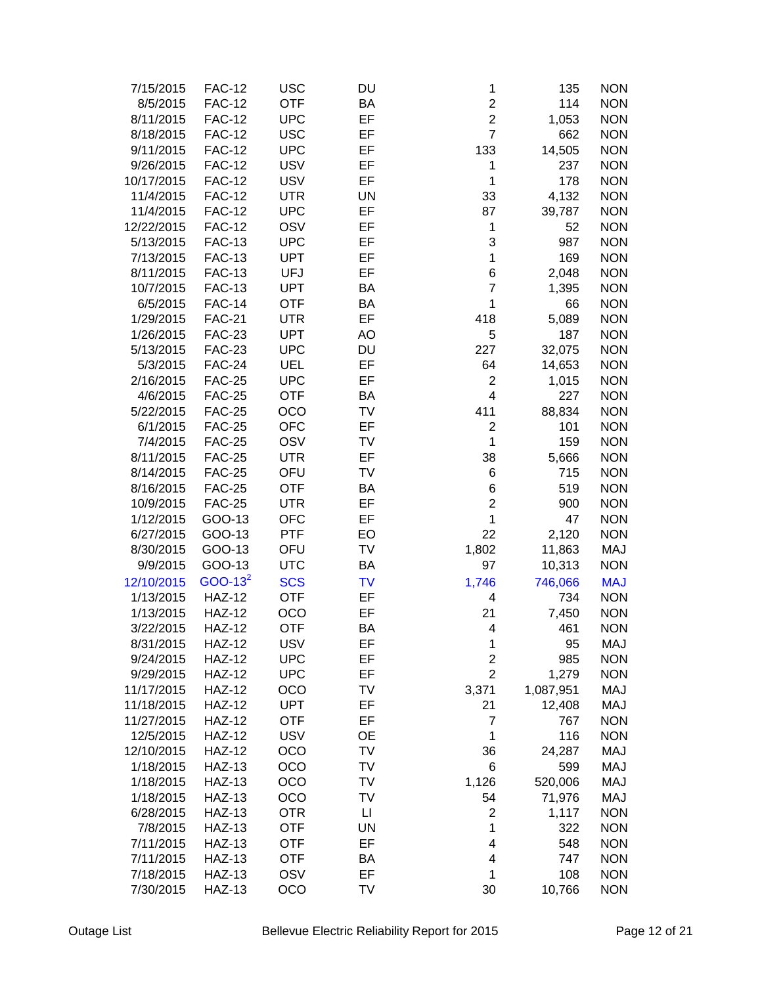| 7/15/2015  | <b>FAC-12</b> | <b>USC</b> | DU        | 1                       | 135       | <b>NON</b> |
|------------|---------------|------------|-----------|-------------------------|-----------|------------|
| 8/5/2015   | <b>FAC-12</b> | <b>OTF</b> | <b>BA</b> | $\overline{c}$          | 114       | <b>NON</b> |
| 8/11/2015  | <b>FAC-12</b> | <b>UPC</b> | EF        | $\overline{c}$          | 1,053     | <b>NON</b> |
| 8/18/2015  | <b>FAC-12</b> | <b>USC</b> | EF        | $\overline{7}$          | 662       | <b>NON</b> |
| 9/11/2015  | <b>FAC-12</b> | <b>UPC</b> | EF        | 133                     | 14,505    | <b>NON</b> |
| 9/26/2015  | <b>FAC-12</b> | <b>USV</b> | EF        | 1                       | 237       | <b>NON</b> |
| 10/17/2015 | <b>FAC-12</b> | <b>USV</b> | EF        | 1                       | 178       | <b>NON</b> |
| 11/4/2015  | <b>FAC-12</b> | <b>UTR</b> | <b>UN</b> | 33                      | 4,132     | <b>NON</b> |
| 11/4/2015  | <b>FAC-12</b> | <b>UPC</b> | EF        | 87                      | 39,787    | <b>NON</b> |
| 12/22/2015 | <b>FAC-12</b> | OSV        | EF        | 1                       | 52        | <b>NON</b> |
| 5/13/2015  | <b>FAC-13</b> | <b>UPC</b> | EF        | 3                       | 987       | <b>NON</b> |
| 7/13/2015  | <b>FAC-13</b> | <b>UPT</b> | EF        | 1                       | 169       | <b>NON</b> |
| 8/11/2015  | <b>FAC-13</b> | <b>UFJ</b> | EF        | 6                       | 2,048     | <b>NON</b> |
| 10/7/2015  | <b>FAC-13</b> | <b>UPT</b> | ΒA        | $\overline{7}$          | 1,395     | <b>NON</b> |
| 6/5/2015   | <b>FAC-14</b> | <b>OTF</b> | BA        | 1                       | 66        | <b>NON</b> |
| 1/29/2015  | <b>FAC-21</b> | <b>UTR</b> | EF        | 418                     | 5,089     | <b>NON</b> |
| 1/26/2015  | <b>FAC-23</b> | <b>UPT</b> | AO        | 5                       | 187       | <b>NON</b> |
|            | <b>FAC-23</b> | <b>UPC</b> | DU        | 227                     |           | <b>NON</b> |
| 5/13/2015  |               |            |           |                         | 32,075    |            |
| 5/3/2015   | <b>FAC-24</b> | <b>UEL</b> | EF        | 64                      | 14,653    | <b>NON</b> |
| 2/16/2015  | <b>FAC-25</b> | <b>UPC</b> | EF        | $\overline{c}$          | 1,015     | <b>NON</b> |
| 4/6/2015   | <b>FAC-25</b> | <b>OTF</b> | BA        | 4                       | 227       | <b>NON</b> |
| 5/22/2015  | <b>FAC-25</b> | OCO        | <b>TV</b> | 411                     | 88,834    | <b>NON</b> |
| 6/1/2015   | <b>FAC-25</b> | <b>OFC</b> | EF        | $\overline{c}$          | 101       | <b>NON</b> |
| 7/4/2015   | <b>FAC-25</b> | OSV        | TV        | 1                       | 159       | <b>NON</b> |
| 8/11/2015  | <b>FAC-25</b> | <b>UTR</b> | EF        | 38                      | 5,666     | <b>NON</b> |
| 8/14/2015  | <b>FAC-25</b> | OFU        | TV        | 6                       | 715       | <b>NON</b> |
| 8/16/2015  | <b>FAC-25</b> | <b>OTF</b> | BA        | 6                       | 519       | <b>NON</b> |
| 10/9/2015  | <b>FAC-25</b> | <b>UTR</b> | EF        | $\overline{c}$          | 900       | <b>NON</b> |
| 1/12/2015  | GOO-13        | <b>OFC</b> | EF        | $\mathbf 1$             | 47        | <b>NON</b> |
| 6/27/2015  | GOO-13        | <b>PTF</b> | EO        | 22                      | 2,120     | <b>NON</b> |
| 8/30/2015  | GOO-13        | OFU        | TV        | 1,802                   | 11,863    | <b>MAJ</b> |
| 9/9/2015   | GOO-13        | <b>UTC</b> | BA        | 97                      | 10,313    | <b>NON</b> |
| 12/10/2015 | $GOO-13^2$    | <b>SCS</b> | <b>TV</b> | 1,746                   | 746,066   | <b>MAJ</b> |
| 1/13/2015  | <b>HAZ-12</b> | <b>OTF</b> | EF        | 4                       | 734       | <b>NON</b> |
| 1/13/2015  | <b>HAZ-12</b> | OCO        | EF        | 21                      | 7,450     | <b>NON</b> |
| 3/22/2015  | <b>HAZ-12</b> | <b>OTF</b> | BA        | 4                       | 461       | <b>NON</b> |
| 8/31/2015  | <b>HAZ-12</b> | <b>USV</b> | EF        | 1                       | 95        | MAJ        |
| 9/24/2015  | <b>HAZ-12</b> | <b>UPC</b> | EF        | $\overline{\mathbf{c}}$ | 985       | <b>NON</b> |
| 9/29/2015  | <b>HAZ-12</b> | <b>UPC</b> | EF        | $\overline{2}$          | 1,279     | <b>NON</b> |
| 11/17/2015 | <b>HAZ-12</b> | OCO        | TV        | 3,371                   | 1,087,951 | <b>MAJ</b> |
| 11/18/2015 | <b>HAZ-12</b> | <b>UPT</b> | EF        | 21                      | 12,408    | <b>MAJ</b> |
| 11/27/2015 | <b>HAZ-12</b> | <b>OTF</b> | EF        | $\overline{7}$          | 767       | <b>NON</b> |
| 12/5/2015  | <b>HAZ-12</b> | <b>USV</b> | <b>OE</b> | 1                       | 116       | <b>NON</b> |
| 12/10/2015 | <b>HAZ-12</b> | OCO        | TV        | 36                      | 24,287    | MAJ        |
| 1/18/2015  | <b>HAZ-13</b> | OCO        | TV        | 6                       | 599       | MAJ        |
| 1/18/2015  | <b>HAZ-13</b> | OCO        | TV        | 1,126                   | 520,006   | MAJ        |
| 1/18/2015  | <b>HAZ-13</b> | OCO        | TV        | 54                      | 71,976    | MAJ        |
| 6/28/2015  | <b>HAZ-13</b> | <b>OTR</b> | LI        | 2                       | 1,117     | <b>NON</b> |
| 7/8/2015   | <b>HAZ-13</b> | <b>OTF</b> | UN        | 1                       | 322       | <b>NON</b> |
| 7/11/2015  | <b>HAZ-13</b> | <b>OTF</b> | EF        | 4                       | 548       | <b>NON</b> |
| 7/11/2015  | <b>HAZ-13</b> | <b>OTF</b> | BA        | 4                       | 747       | <b>NON</b> |
| 7/18/2015  | <b>HAZ-13</b> | OSV        | EF        | 1                       | 108       | <b>NON</b> |
| 7/30/2015  | <b>HAZ-13</b> | OCO        | TV        | 30                      | 10,766    | <b>NON</b> |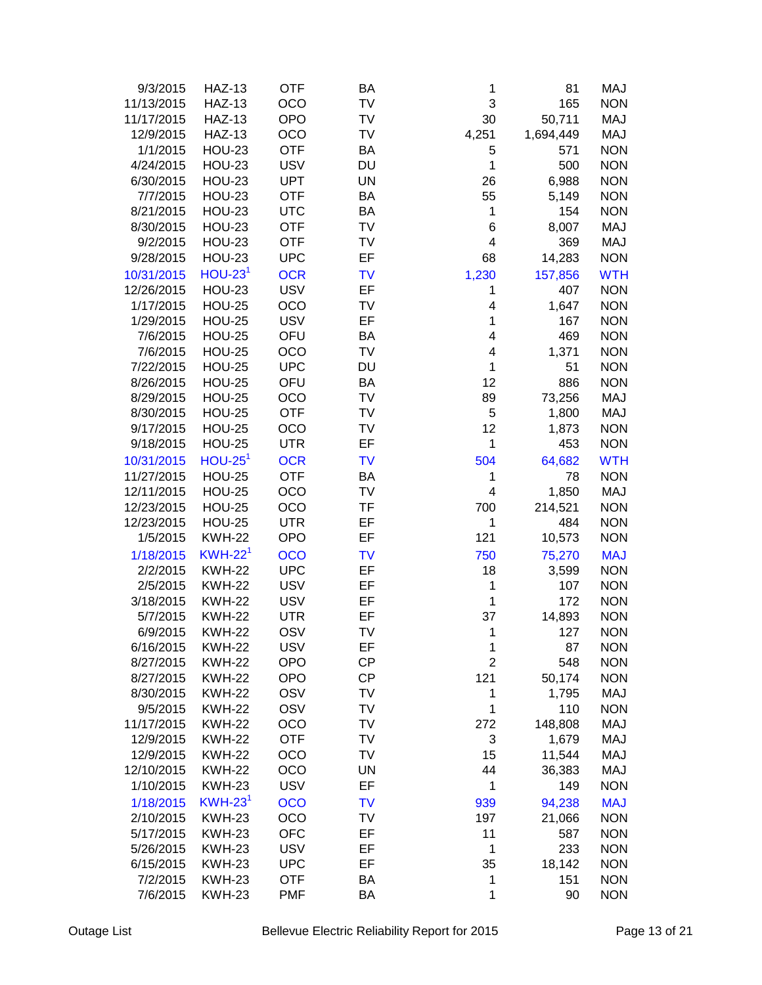| 9/3/2015   | <b>HAZ-13</b> | <b>OTF</b> | BA        | 1              | 81        | MAJ        |
|------------|---------------|------------|-----------|----------------|-----------|------------|
| 11/13/2015 | <b>HAZ-13</b> | OCO        | TV        | 3              | 165       | <b>NON</b> |
| 11/17/2015 | <b>HAZ-13</b> | <b>OPO</b> | TV        | 30             | 50,711    | MAJ        |
| 12/9/2015  | <b>HAZ-13</b> | OCO        | TV        | 4,251          | 1,694,449 | MAJ        |
| 1/1/2015   | <b>HOU-23</b> | <b>OTF</b> | BA        | 5              | 571       | <b>NON</b> |
| 4/24/2015  | <b>HOU-23</b> | <b>USV</b> | DU        | 1              | 500       | <b>NON</b> |
| 6/30/2015  | <b>HOU-23</b> | <b>UPT</b> | UN        | 26             | 6,988     | <b>NON</b> |
| 7/7/2015   | <b>HOU-23</b> | <b>OTF</b> | BA        | 55             | 5,149     | <b>NON</b> |
| 8/21/2015  | <b>HOU-23</b> | <b>UTC</b> | BA        | 1              | 154       | <b>NON</b> |
| 8/30/2015  | <b>HOU-23</b> | <b>OTF</b> | TV        | 6              | 8,007     | MAJ        |
| 9/2/2015   | <b>HOU-23</b> | <b>OTF</b> | TV        | 4              | 369       | <b>MAJ</b> |
| 9/28/2015  | <b>HOU-23</b> | <b>UPC</b> | EF        | 68             |           | <b>NON</b> |
|            |               |            |           |                | 14,283    |            |
| 10/31/2015 | $HOU-231$     | <b>OCR</b> | <b>TV</b> | 1,230          | 157,856   | <b>WTH</b> |
| 12/26/2015 | <b>HOU-23</b> | <b>USV</b> | EF        | 1              | 407       | <b>NON</b> |
| 1/17/2015  | <b>HOU-25</b> | OCO        | TV        | 4              | 1,647     | <b>NON</b> |
| 1/29/2015  | <b>HOU-25</b> | <b>USV</b> | EF        | 1              | 167       | <b>NON</b> |
| 7/6/2015   | <b>HOU-25</b> | OFU        | BA        | 4              | 469       | <b>NON</b> |
| 7/6/2015   | <b>HOU-25</b> | OCO        | TV        | 4              | 1,371     | <b>NON</b> |
| 7/22/2015  | <b>HOU-25</b> | <b>UPC</b> | <b>DU</b> | 1              | 51        | <b>NON</b> |
| 8/26/2015  | <b>HOU-25</b> | OFU        | BA        | 12             | 886       | <b>NON</b> |
| 8/29/2015  | <b>HOU-25</b> | OCO        | TV        | 89             | 73,256    | MAJ        |
| 8/30/2015  | <b>HOU-25</b> | <b>OTF</b> | TV        | 5              | 1,800     | MAJ        |
| 9/17/2015  | <b>HOU-25</b> | OCO        | TV        | 12             | 1,873     | <b>NON</b> |
| 9/18/2015  | <b>HOU-25</b> | <b>UTR</b> | EF        | 1              | 453       | <b>NON</b> |
| 10/31/2015 | $HOU-251$     | <b>OCR</b> | <b>TV</b> | 504            | 64,682    | <b>WTH</b> |
| 11/27/2015 | <b>HOU-25</b> | <b>OTF</b> | BA        | 1              | 78        | <b>NON</b> |
| 12/11/2015 | <b>HOU-25</b> | OCO        | TV        | 4              | 1,850     | MAJ        |
| 12/23/2015 | <b>HOU-25</b> | OCO        | <b>TF</b> | 700            | 214,521   | <b>NON</b> |
| 12/23/2015 | <b>HOU-25</b> | <b>UTR</b> | EF        | 1              | 484       | <b>NON</b> |
| 1/5/2015   | <b>KWH-22</b> | <b>OPO</b> | EF        | 121            | 10,573    | <b>NON</b> |
| 1/18/2015  | $KWH-22^1$    | <b>OCO</b> | <b>TV</b> | 750            | 75,270    | <b>MAJ</b> |
| 2/2/2015   | <b>KWH-22</b> | <b>UPC</b> | EF        | 18             | 3,599     | <b>NON</b> |
|            | <b>KWH-22</b> | <b>USV</b> | EF        | 1              | 107       | <b>NON</b> |
| 2/5/2015   | <b>KWH-22</b> |            |           |                |           |            |
| 3/18/2015  |               | <b>USV</b> | EF        | 1              | 172       | <b>NON</b> |
| 5/7/2015   | <b>KWH-22</b> | <b>UTR</b> | EF        | 37             | 14,893    | <b>NON</b> |
| 6/9/2015   | <b>KWH-22</b> | OSV        | TV        | 1              | 127       | <b>NON</b> |
| 6/16/2015  | <b>KWH-22</b> | <b>USV</b> | EF        | $\mathbf 1$    | 87        | <b>NON</b> |
| 8/27/2015  | <b>KWH-22</b> | <b>OPO</b> | CP        | $\overline{c}$ | 548       | <b>NON</b> |
| 8/27/2015  | <b>KWH-22</b> | <b>OPO</b> | CP        | 121            | 50,174    | <b>NON</b> |
| 8/30/2015  | <b>KWH-22</b> | OSV        | TV        | $\mathbf 1$    | 1,795     | MAJ        |
| 9/5/2015   | <b>KWH-22</b> | OSV        | TV        | 1              | 110       | <b>NON</b> |
| 11/17/2015 | <b>KWH-22</b> | OCO        | TV        | 272            | 148,808   | MAJ        |
| 12/9/2015  | <b>KWH-22</b> | <b>OTF</b> | <b>TV</b> | 3              | 1,679     | MAJ        |
| 12/9/2015  | <b>KWH-22</b> | OCO        | TV        | 15             | 11,544    | MAJ        |
| 12/10/2015 | <b>KWH-22</b> | OCO        | <b>UN</b> | 44             | 36,383    | MAJ        |
| 1/10/2015  | <b>KWH-23</b> | <b>USV</b> | EF        | 1              | 149       | <b>NON</b> |
| 1/18/2015  | $KWH-231$     | <b>OCO</b> | <b>TV</b> | 939            | 94,238    | <b>MAJ</b> |
| 2/10/2015  | <b>KWH-23</b> | OCO        | TV        | 197            | 21,066    | <b>NON</b> |
| 5/17/2015  | <b>KWH-23</b> | <b>OFC</b> | EF        | 11             | 587       | <b>NON</b> |
| 5/26/2015  | <b>KWH-23</b> | <b>USV</b> | EF        | 1              | 233       | <b>NON</b> |
| 6/15/2015  | <b>KWH-23</b> | <b>UPC</b> | EF        | 35             | 18,142    | <b>NON</b> |
| 7/2/2015   | <b>KWH-23</b> | <b>OTF</b> | BA        | 1              | 151       | <b>NON</b> |
| 7/6/2015   | <b>KWH-23</b> | <b>PMF</b> | BA        | 1              | 90        | <b>NON</b> |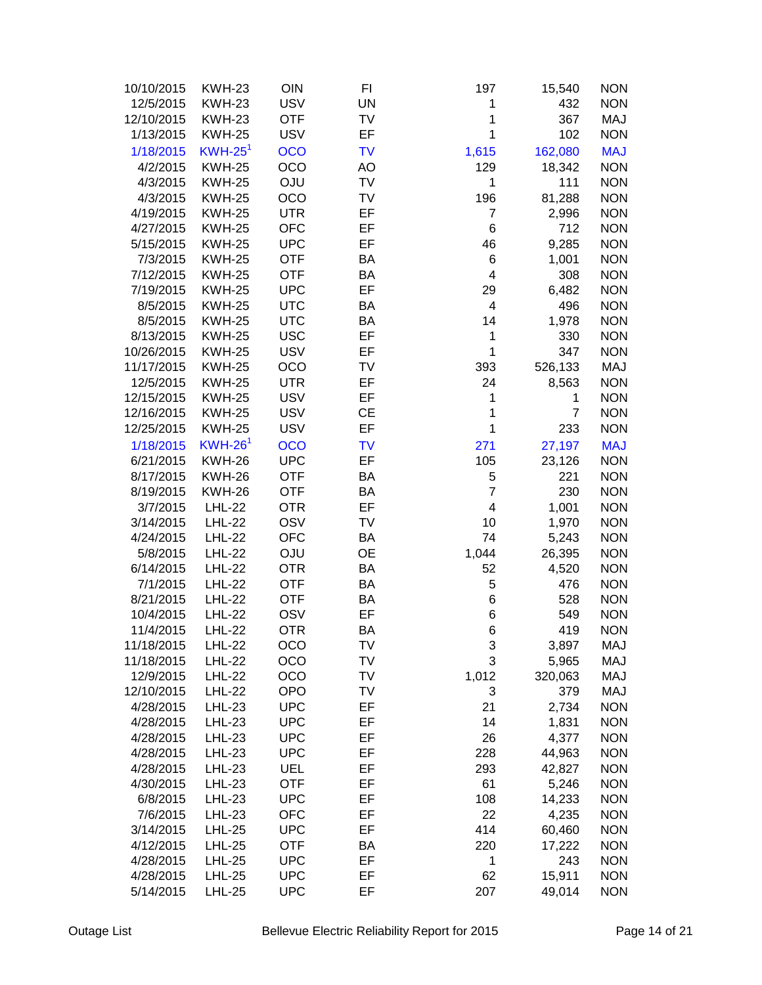| 10/10/2015 | <b>KWH-23</b>         | OIN        | FI        | 197                     | 15,540         | <b>NON</b> |
|------------|-----------------------|------------|-----------|-------------------------|----------------|------------|
| 12/5/2015  | <b>KWH-23</b>         | <b>USV</b> | UN        | 1                       | 432            | <b>NON</b> |
| 12/10/2015 | <b>KWH-23</b>         | <b>OTF</b> | TV        | 1                       | 367            | MAJ        |
| 1/13/2015  | <b>KWH-25</b>         | <b>USV</b> | EF        | 1                       | 102            | <b>NON</b> |
| 1/18/2015  | $KWH-25$ <sup>1</sup> | <b>OCO</b> | <b>TV</b> | 1,615                   | 162,080        | <b>MAJ</b> |
| 4/2/2015   | <b>KWH-25</b>         | OCO        | AO        | 129                     | 18,342         | <b>NON</b> |
|            |                       |            |           |                         |                |            |
| 4/3/2015   | <b>KWH-25</b>         | <b>OJU</b> | TV        | 1                       | 111            | <b>NON</b> |
| 4/3/2015   | <b>KWH-25</b>         | OCO        | TV        | 196                     | 81,288         | <b>NON</b> |
| 4/19/2015  | <b>KWH-25</b>         | <b>UTR</b> | EF        | $\overline{7}$          | 2,996          | <b>NON</b> |
| 4/27/2015  | <b>KWH-25</b>         | <b>OFC</b> | EF        | 6                       | 712            | <b>NON</b> |
| 5/15/2015  | <b>KWH-25</b>         | <b>UPC</b> | EF        | 46                      | 9,285          | <b>NON</b> |
| 7/3/2015   | <b>KWH-25</b>         | <b>OTF</b> | BA        | 6                       | 1,001          | <b>NON</b> |
| 7/12/2015  | <b>KWH-25</b>         | <b>OTF</b> | BA        | $\overline{\mathbf{4}}$ | 308            | <b>NON</b> |
| 7/19/2015  | <b>KWH-25</b>         | <b>UPC</b> | EF        | 29                      | 6,482          | <b>NON</b> |
| 8/5/2015   | <b>KWH-25</b>         | <b>UTC</b> | BA        | $\overline{4}$          | 496            | <b>NON</b> |
| 8/5/2015   | <b>KWH-25</b>         | <b>UTC</b> | BA        | 14                      | 1,978          | <b>NON</b> |
| 8/13/2015  | <b>KWH-25</b>         | <b>USC</b> | EF        | 1                       | 330            | <b>NON</b> |
| 10/26/2015 | <b>KWH-25</b>         | <b>USV</b> | EF        | 1                       | 347            | <b>NON</b> |
| 11/17/2015 | <b>KWH-25</b>         | OCO        | TV        | 393                     | 526,133        | MAJ        |
| 12/5/2015  | <b>KWH-25</b>         | <b>UTR</b> | EF        | 24                      | 8,563          | <b>NON</b> |
| 12/15/2015 | <b>KWH-25</b>         | <b>USV</b> | EF        | 1                       | 1              | <b>NON</b> |
| 12/16/2015 | <b>KWH-25</b>         | <b>USV</b> | <b>CE</b> | 1                       | $\overline{7}$ | <b>NON</b> |
| 12/25/2015 | <b>KWH-25</b>         | <b>USV</b> | EF        | 1                       | 233            | <b>NON</b> |
| 1/18/2015  | $KWH-261$             | <b>OCO</b> | <b>TV</b> | 271                     | 27,197         | <b>MAJ</b> |
| 6/21/2015  | <b>KWH-26</b>         | <b>UPC</b> | EF        | 105                     | 23,126         | <b>NON</b> |
| 8/17/2015  | <b>KWH-26</b>         | <b>OTF</b> | BA        | 5                       | 221            | <b>NON</b> |
| 8/19/2015  | <b>KWH-26</b>         | <b>OTF</b> | ΒA        | $\overline{7}$          | 230            | <b>NON</b> |
| 3/7/2015   | <b>LHL-22</b>         | <b>OTR</b> | EF        | $\overline{4}$          | 1,001          | <b>NON</b> |
| 3/14/2015  | <b>LHL-22</b>         | OSV        | TV        | 10                      | 1,970          | <b>NON</b> |
| 4/24/2015  | <b>LHL-22</b>         | <b>OFC</b> | BA        | 74                      | 5,243          | <b>NON</b> |
| 5/8/2015   | <b>LHL-22</b>         | <b>OJU</b> | <b>OE</b> | 1,044                   | 26,395         | <b>NON</b> |
| 6/14/2015  | <b>LHL-22</b>         | <b>OTR</b> | BA        | 52                      | 4,520          | <b>NON</b> |
| 7/1/2015   | <b>LHL-22</b>         | <b>OTF</b> | BA        | 5                       | 476            | <b>NON</b> |
| 8/21/2015  | <b>LHL-22</b>         | <b>OTF</b> | BA        | 6                       | 528            | <b>NON</b> |
| 10/4/2015  | <b>LHL-22</b>         | OSV        | EF        | 6                       | 549            | <b>NON</b> |
| 11/4/2015  | <b>LHL-22</b>         | <b>OTR</b> | BA        | 6                       | 419            | <b>NON</b> |
| 11/18/2015 | <b>LHL-22</b>         | OCO        | TV        |                         | 3,897          | MAJ        |
| 11/18/2015 | <b>LHL-22</b>         | OCO        | TV        | 3<br>3                  | 5,965          | MAJ        |
|            | <b>LHL-22</b>         | OCO        | TV        |                         | 320,063        | MAJ        |
| 12/9/2015  |                       |            |           | 1,012                   |                |            |
| 12/10/2015 | <b>LHL-22</b>         | <b>OPO</b> | TV        | 3                       | 379            | MAJ        |
| 4/28/2015  | <b>LHL-23</b>         | <b>UPC</b> | EF        | 21                      | 2,734          | <b>NON</b> |
| 4/28/2015  | <b>LHL-23</b>         | <b>UPC</b> | EF        | 14                      | 1,831          | <b>NON</b> |
| 4/28/2015  | <b>LHL-23</b>         | <b>UPC</b> | EF        | 26                      | 4,377          | <b>NON</b> |
| 4/28/2015  | <b>LHL-23</b>         | <b>UPC</b> | EF        | 228                     | 44,963         | <b>NON</b> |
| 4/28/2015  | <b>LHL-23</b>         | UEL        | EF        | 293                     | 42,827         | <b>NON</b> |
| 4/30/2015  | <b>LHL-23</b>         | <b>OTF</b> | EF        | 61                      | 5,246          | <b>NON</b> |
| 6/8/2015   | <b>LHL-23</b>         | <b>UPC</b> | EF        | 108                     | 14,233         | <b>NON</b> |
| 7/6/2015   | <b>LHL-23</b>         | <b>OFC</b> | EF        | 22                      | 4,235          | <b>NON</b> |
| 3/14/2015  | <b>LHL-25</b>         | <b>UPC</b> | EF        | 414                     | 60,460         | <b>NON</b> |
| 4/12/2015  | <b>LHL-25</b>         | <b>OTF</b> | BA        | 220                     | 17,222         | <b>NON</b> |
| 4/28/2015  | <b>LHL-25</b>         | <b>UPC</b> | EF        | 1                       | 243            | <b>NON</b> |
| 4/28/2015  | <b>LHL-25</b>         | <b>UPC</b> | EF        | 62                      | 15,911         | <b>NON</b> |
| 5/14/2015  | <b>LHL-25</b>         | <b>UPC</b> | EF        | 207                     | 49,014         | <b>NON</b> |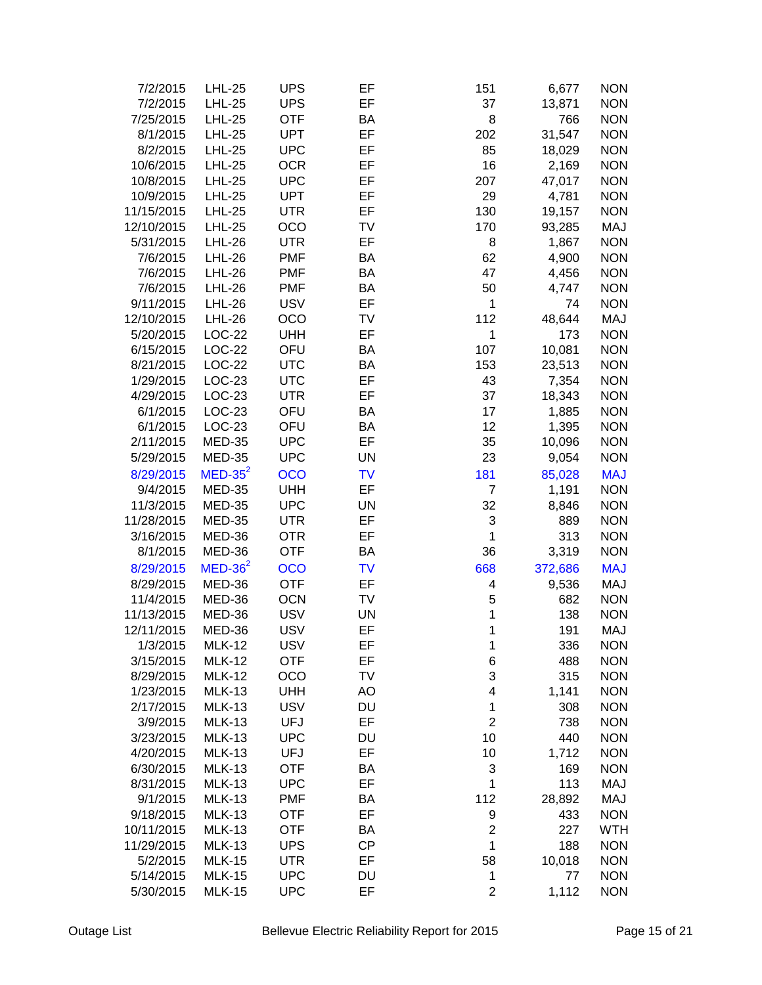| 7/2/2015   | <b>LHL-25</b> | <b>UPS</b> | EF        | 151              | 6,677   | <b>NON</b> |
|------------|---------------|------------|-----------|------------------|---------|------------|
| 7/2/2015   | <b>LHL-25</b> | <b>UPS</b> | EF        | 37               | 13,871  | <b>NON</b> |
| 7/25/2015  | <b>LHL-25</b> | <b>OTF</b> | BA        | 8                | 766     | <b>NON</b> |
| 8/1/2015   | <b>LHL-25</b> | <b>UPT</b> | EF        | 202              | 31,547  | <b>NON</b> |
| 8/2/2015   | <b>LHL-25</b> | <b>UPC</b> | EF        | 85               | 18,029  | <b>NON</b> |
| 10/6/2015  | <b>LHL-25</b> | <b>OCR</b> | EF        | 16               | 2,169   | <b>NON</b> |
| 10/8/2015  | <b>LHL-25</b> | <b>UPC</b> | EF        | 207              | 47,017  | <b>NON</b> |
| 10/9/2015  | <b>LHL-25</b> | <b>UPT</b> | EF        | 29               | 4,781   | <b>NON</b> |
| 11/15/2015 | <b>LHL-25</b> | <b>UTR</b> | EF        | 130              | 19,157  | <b>NON</b> |
| 12/10/2015 | <b>LHL-25</b> | OCO        | TV        | 170              | 93,285  | MAJ        |
| 5/31/2015  | <b>LHL-26</b> | <b>UTR</b> | EF        | 8                | 1,867   | <b>NON</b> |
| 7/6/2015   | <b>LHL-26</b> | <b>PMF</b> | BA        | 62               | 4,900   | <b>NON</b> |
| 7/6/2015   | <b>LHL-26</b> | <b>PMF</b> | BA        | 47               | 4,456   | <b>NON</b> |
| 7/6/2015   | <b>LHL-26</b> | <b>PMF</b> | BA        | 50               | 4,747   | <b>NON</b> |
|            | <b>LHL-26</b> | <b>USV</b> | EF        | 1                | 74      | <b>NON</b> |
| 9/11/2015  | <b>LHL-26</b> |            |           |                  |         |            |
| 12/10/2015 |               | OCO        | TV        | 112              | 48,644  | MAJ        |
| 5/20/2015  | LOC-22        | <b>UHH</b> | EF        | 1                | 173     | <b>NON</b> |
| 6/15/2015  | LOC-22        | OFU        | BA        | 107              | 10,081  | <b>NON</b> |
| 8/21/2015  | LOC-22        | <b>UTC</b> | BA        | 153              | 23,513  | <b>NON</b> |
| 1/29/2015  | LOC-23        | <b>UTC</b> | EF        | 43               | 7,354   | <b>NON</b> |
| 4/29/2015  | LOC-23        | <b>UTR</b> | EF        | 37               | 18,343  | <b>NON</b> |
| 6/1/2015   | LOC-23        | OFU        | BA        | 17               | 1,885   | <b>NON</b> |
| 6/1/2015   | LOC-23        | OFU        | BA        | 12               | 1,395   | <b>NON</b> |
| 2/11/2015  | <b>MED-35</b> | <b>UPC</b> | EF        | 35               | 10,096  | <b>NON</b> |
| 5/29/2015  | <b>MED-35</b> | <b>UPC</b> | <b>UN</b> | 23               | 9,054   | <b>NON</b> |
| 8/29/2015  | $MED-35^2$    | <b>OCO</b> | <b>TV</b> | 181              | 85,028  | <b>MAJ</b> |
| 9/4/2015   | MED-35        | <b>UHH</b> | EF        | $\overline{7}$   | 1,191   | <b>NON</b> |
| 11/3/2015  | <b>MED-35</b> | <b>UPC</b> | UN        | 32               | 8,846   | <b>NON</b> |
| 11/28/2015 | <b>MED-35</b> | <b>UTR</b> | EF        | 3                | 889     | <b>NON</b> |
| 3/16/2015  | MED-36        | <b>OTR</b> | EF        | 1                | 313     | <b>NON</b> |
| 8/1/2015   | MED-36        | <b>OTF</b> | BA        | 36               | 3,319   | <b>NON</b> |
| 8/29/2015  | $MED-362$     | <b>OCO</b> | <b>TV</b> | 668              | 372,686 | <b>MAJ</b> |
| 8/29/2015  | MED-36        | <b>OTF</b> | EF        | 4                | 9,536   | MAJ        |
| 11/4/2015  | MED-36        | <b>OCN</b> | TV        | 5                | 682     | <b>NON</b> |
| 11/13/2015 | MED-36        | <b>USV</b> | <b>UN</b> | 1                | 138     | <b>NON</b> |
| 12/11/2015 | MED-36        | <b>USV</b> | EF        | 1                | 191     | MAJ        |
| 1/3/2015   | <b>MLK-12</b> | <b>USV</b> | EF        | 1                | 336     | <b>NON</b> |
| 3/15/2015  | <b>MLK-12</b> | <b>OTF</b> | EF        | 6                | 488     | <b>NON</b> |
| 8/29/2015  | <b>MLK-12</b> | OCO        | TV        | 3                | 315     | <b>NON</b> |
| 1/23/2015  | <b>MLK-13</b> | <b>UHH</b> | AO        | 4                | 1,141   | <b>NON</b> |
| 2/17/2015  | <b>MLK-13</b> | <b>USV</b> | DU        | 1                | 308     | <b>NON</b> |
| 3/9/2015   | <b>MLK-13</b> | <b>UFJ</b> | EF        | $\overline{c}$   | 738     | <b>NON</b> |
| 3/23/2015  | <b>MLK-13</b> | <b>UPC</b> | DU        | 10               | 440     | <b>NON</b> |
| 4/20/2015  | <b>MLK-13</b> | <b>UFJ</b> | EF        | 10               | 1,712   | <b>NON</b> |
| 6/30/2015  |               | <b>OTF</b> |           |                  |         | <b>NON</b> |
| 8/31/2015  | <b>MLK-13</b> |            | BA<br>EF  | 3                | 169     |            |
|            | <b>MLK-13</b> | <b>UPC</b> |           | 1                | 113     | MAJ        |
| 9/1/2015   | <b>MLK-13</b> | <b>PMF</b> | BA        | 112              | 28,892  | MAJ        |
| 9/18/2015  | <b>MLK-13</b> | <b>OTF</b> | EF        | 9                | 433     | <b>NON</b> |
| 10/11/2015 | <b>MLK-13</b> | <b>OTF</b> | BA        | $\boldsymbol{2}$ | 227     | <b>WTH</b> |
| 11/29/2015 | <b>MLK-13</b> | <b>UPS</b> | <b>CP</b> | 1                | 188     | <b>NON</b> |
| 5/2/2015   | <b>MLK-15</b> | <b>UTR</b> | EF        | 58               | 10,018  | <b>NON</b> |
| 5/14/2015  | <b>MLK-15</b> | <b>UPC</b> | DU        | 1                | 77      | <b>NON</b> |
| 5/30/2015  | <b>MLK-15</b> | <b>UPC</b> | EF        | $\mathbf 2$      | 1,112   | <b>NON</b> |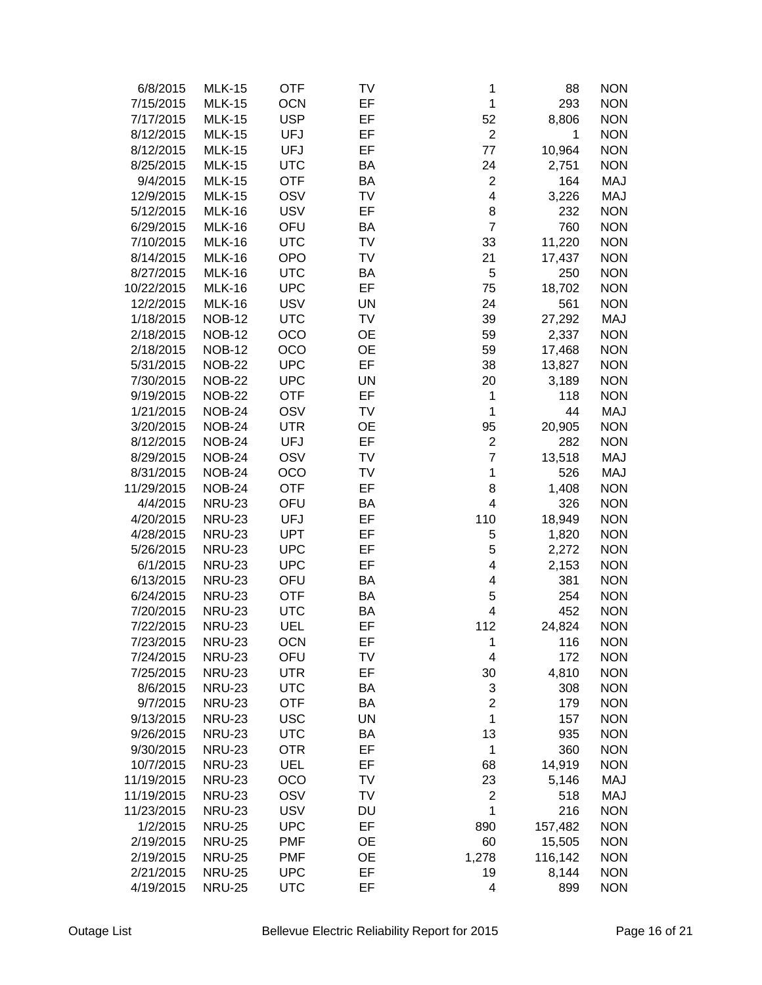| 6/8/2015   | <b>MLK-15</b> | <b>OTF</b> | TV        | 1              | 88      | <b>NON</b> |
|------------|---------------|------------|-----------|----------------|---------|------------|
| 7/15/2015  | <b>MLK-15</b> | <b>OCN</b> | EF        | 1              | 293     | <b>NON</b> |
| 7/17/2015  | <b>MLK-15</b> | <b>USP</b> | EF        | 52             | 8,806   | <b>NON</b> |
| 8/12/2015  | <b>MLK-15</b> | <b>UFJ</b> | EF        | $\overline{2}$ | 1       | <b>NON</b> |
| 8/12/2015  | <b>MLK-15</b> | <b>UFJ</b> | EF        | 77             | 10,964  | <b>NON</b> |
| 8/25/2015  | <b>MLK-15</b> | <b>UTC</b> | BA        | 24             | 2,751   | <b>NON</b> |
| 9/4/2015   | <b>MLK-15</b> | <b>OTF</b> | BA        | $\overline{c}$ | 164     | MAJ        |
| 12/9/2015  | <b>MLK-15</b> | OSV        | TV        | 4              | 3,226   | MAJ        |
| 5/12/2015  | <b>MLK-16</b> | <b>USV</b> | EF        | 8              | 232     | <b>NON</b> |
| 6/29/2015  | <b>MLK-16</b> | OFU        | BA        | $\overline{7}$ | 760     | <b>NON</b> |
|            | <b>MLK-16</b> | <b>UTC</b> | TV        | 33             |         | <b>NON</b> |
| 7/10/2015  |               |            |           |                | 11,220  |            |
| 8/14/2015  | <b>MLK-16</b> | <b>OPO</b> | TV        | 21             | 17,437  | <b>NON</b> |
| 8/27/2015  | <b>MLK-16</b> | <b>UTC</b> | BA        | 5              | 250     | <b>NON</b> |
| 10/22/2015 | <b>MLK-16</b> | <b>UPC</b> | EF        | 75             | 18,702  | <b>NON</b> |
| 12/2/2015  | <b>MLK-16</b> | <b>USV</b> | <b>UN</b> | 24             | 561     | <b>NON</b> |
| 1/18/2015  | <b>NOB-12</b> | <b>UTC</b> | TV        | 39             | 27,292  | MAJ        |
| 2/18/2015  | <b>NOB-12</b> | OCO        | OE        | 59             | 2,337   | <b>NON</b> |
| 2/18/2015  | <b>NOB-12</b> | OCO        | <b>OE</b> | 59             | 17,468  | <b>NON</b> |
| 5/31/2015  | <b>NOB-22</b> | <b>UPC</b> | EF        | 38             | 13,827  | <b>NON</b> |
| 7/30/2015  | <b>NOB-22</b> | <b>UPC</b> | <b>UN</b> | 20             | 3,189   | <b>NON</b> |
| 9/19/2015  | <b>NOB-22</b> | <b>OTF</b> | EF        | 1              | 118     | <b>NON</b> |
| 1/21/2015  | <b>NOB-24</b> | OSV        | <b>TV</b> | 1              | 44      | MAJ        |
| 3/20/2015  | <b>NOB-24</b> | <b>UTR</b> | <b>OE</b> | 95             | 20,905  | <b>NON</b> |
| 8/12/2015  | <b>NOB-24</b> | <b>UFJ</b> | EF        | $\overline{c}$ | 282     | <b>NON</b> |
| 8/29/2015  | <b>NOB-24</b> | OSV        | TV        | $\overline{7}$ | 13,518  | MAJ        |
| 8/31/2015  | <b>NOB-24</b> | OCO        | <b>TV</b> | 1              | 526     | MAJ        |
| 11/29/2015 | <b>NOB-24</b> | <b>OTF</b> | EF        | 8              | 1,408   | <b>NON</b> |
| 4/4/2015   | <b>NRU-23</b> | OFU        | BA        | 4              | 326     | <b>NON</b> |
| 4/20/2015  | <b>NRU-23</b> | <b>UFJ</b> | EF        | 110            | 18,949  | <b>NON</b> |
| 4/28/2015  | <b>NRU-23</b> | <b>UPT</b> | EF        | 5              | 1,820   | <b>NON</b> |
| 5/26/2015  | <b>NRU-23</b> | <b>UPC</b> | EF        | 5              | 2,272   | <b>NON</b> |
| 6/1/2015   | <b>NRU-23</b> | <b>UPC</b> | EF        | 4              | 2,153   | <b>NON</b> |
| 6/13/2015  | <b>NRU-23</b> | OFU        | BA        | 4              | 381     | <b>NON</b> |
| 6/24/2015  | <b>NRU-23</b> | <b>OTF</b> | BA        | 5              | 254     | <b>NON</b> |
| 7/20/2015  | <b>NRU-23</b> | <b>UTC</b> | BA        | 4              | 452     | <b>NON</b> |
| 7/22/2015  | <b>NRU-23</b> | UEL        | EF        | 112            | 24,824  | <b>NON</b> |
| 7/23/2015  | NRU-23        | OCN        | EF        | 1              | 116     | <b>NON</b> |
| 7/24/2015  | <b>NRU-23</b> | OFU        | TV        | 4              | 172     | <b>NON</b> |
| 7/25/2015  | <b>NRU-23</b> | <b>UTR</b> | EF        | 30             | 4,810   | <b>NON</b> |
| 8/6/2015   | <b>NRU-23</b> | <b>UTC</b> | BA        | 3              | 308     | <b>NON</b> |
| 9/7/2015   | <b>NRU-23</b> | <b>OTF</b> | <b>BA</b> | $\overline{2}$ | 179     | <b>NON</b> |
|            |               | <b>USC</b> | UN        | 1              |         | <b>NON</b> |
| 9/13/2015  | <b>NRU-23</b> |            |           |                | 157     | <b>NON</b> |
| 9/26/2015  | <b>NRU-23</b> | <b>UTC</b> | BA        | 13             | 935     |            |
| 9/30/2015  | <b>NRU-23</b> | <b>OTR</b> | EF        | 1              | 360     | <b>NON</b> |
| 10/7/2015  | <b>NRU-23</b> | UEL        | EF        | 68             | 14,919  | <b>NON</b> |
| 11/19/2015 | <b>NRU-23</b> | OCO        | TV        | 23             | 5,146   | MAJ        |
| 11/19/2015 | <b>NRU-23</b> | OSV        | TV        | $\overline{c}$ | 518     | MAJ        |
| 11/23/2015 | <b>NRU-23</b> | <b>USV</b> | DU        | 1              | 216     | <b>NON</b> |
| 1/2/2015   | <b>NRU-25</b> | <b>UPC</b> | EF        | 890            | 157,482 | <b>NON</b> |
| 2/19/2015  | <b>NRU-25</b> | <b>PMF</b> | OE        | 60             | 15,505  | <b>NON</b> |
| 2/19/2015  | <b>NRU-25</b> | <b>PMF</b> | OE        | 1,278          | 116,142 | <b>NON</b> |
| 2/21/2015  | <b>NRU-25</b> | <b>UPC</b> | EF        | 19             | 8,144   | <b>NON</b> |
| 4/19/2015  | <b>NRU-25</b> | <b>UTC</b> | EF        | 4              | 899     | <b>NON</b> |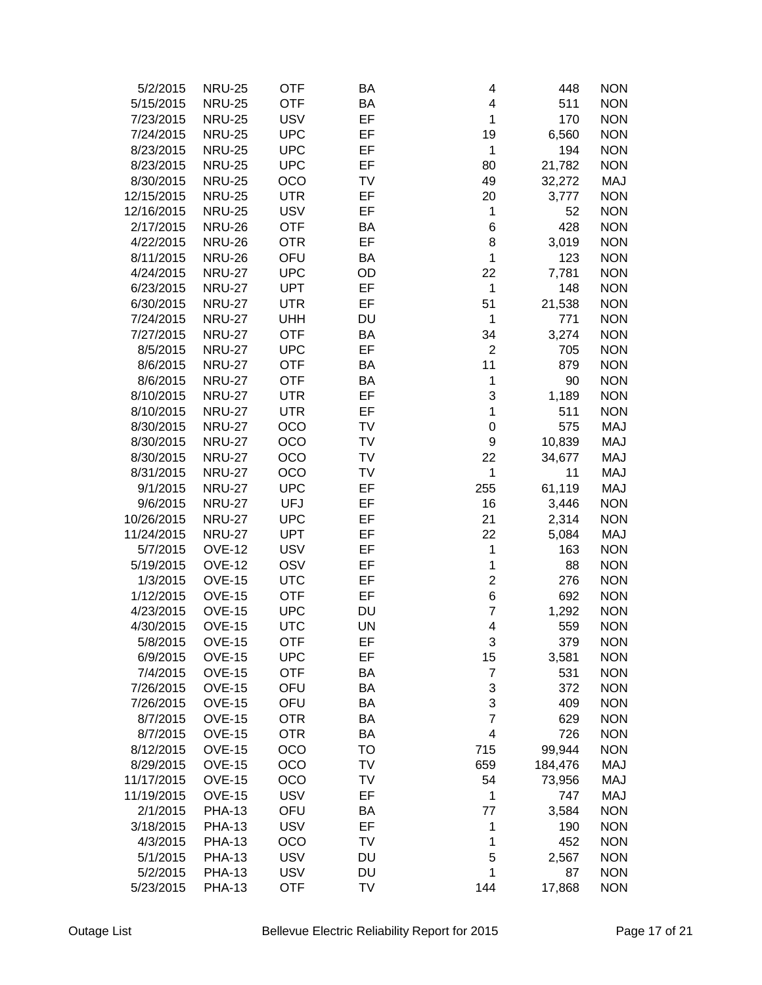| 5/2/2015   | <b>NRU-25</b> | <b>OTF</b> | ΒA        | 4              | 448     | <b>NON</b> |
|------------|---------------|------------|-----------|----------------|---------|------------|
| 5/15/2015  | <b>NRU-25</b> | <b>OTF</b> | BA        | 4              | 511     | <b>NON</b> |
| 7/23/2015  | <b>NRU-25</b> | <b>USV</b> | EF        | $\mathbf 1$    | 170     | <b>NON</b> |
| 7/24/2015  | <b>NRU-25</b> | <b>UPC</b> | EF        | 19             | 6,560   | <b>NON</b> |
| 8/23/2015  | <b>NRU-25</b> | <b>UPC</b> | EF        | 1              | 194     | <b>NON</b> |
| 8/23/2015  | <b>NRU-25</b> | <b>UPC</b> | EF        | 80             | 21,782  | <b>NON</b> |
| 8/30/2015  | <b>NRU-25</b> | OCO        | TV        | 49             | 32,272  | <b>MAJ</b> |
| 12/15/2015 | <b>NRU-25</b> | <b>UTR</b> | EF        | 20             | 3,777   | <b>NON</b> |
| 12/16/2015 | <b>NRU-25</b> | <b>USV</b> | EF        | 1              | 52      | <b>NON</b> |
| 2/17/2015  | <b>NRU-26</b> | <b>OTF</b> | BA        | 6              | 428     | <b>NON</b> |
| 4/22/2015  | <b>NRU-26</b> | <b>OTR</b> | EF        | 8              |         | <b>NON</b> |
|            |               |            |           | 1              | 3,019   |            |
| 8/11/2015  | <b>NRU-26</b> | OFU        | BA        |                | 123     | <b>NON</b> |
| 4/24/2015  | <b>NRU-27</b> | <b>UPC</b> | OD        | 22             | 7,781   | <b>NON</b> |
| 6/23/2015  | <b>NRU-27</b> | <b>UPT</b> | EF        | 1              | 148     | <b>NON</b> |
| 6/30/2015  | <b>NRU-27</b> | <b>UTR</b> | EF        | 51             | 21,538  | <b>NON</b> |
| 7/24/2015  | <b>NRU-27</b> | <b>UHH</b> | DU        | 1              | 771     | <b>NON</b> |
| 7/27/2015  | <b>NRU-27</b> | <b>OTF</b> | BA        | 34             | 3,274   | <b>NON</b> |
| 8/5/2015   | <b>NRU-27</b> | <b>UPC</b> | EF        | $\overline{2}$ | 705     | <b>NON</b> |
| 8/6/2015   | <b>NRU-27</b> | <b>OTF</b> | BA        | 11             | 879     | <b>NON</b> |
| 8/6/2015   | <b>NRU-27</b> | <b>OTF</b> | BA        | 1              | 90      | <b>NON</b> |
| 8/10/2015  | <b>NRU-27</b> | <b>UTR</b> | EF        | 3              | 1,189   | <b>NON</b> |
| 8/10/2015  | <b>NRU-27</b> | <b>UTR</b> | EF        | 1              | 511     | <b>NON</b> |
| 8/30/2015  | <b>NRU-27</b> | <b>OCO</b> | TV        | $\mathbf 0$    | 575     | MAJ        |
| 8/30/2015  | <b>NRU-27</b> | OCO        | TV        | 9              | 10,839  | MAJ        |
| 8/30/2015  | <b>NRU-27</b> | OCO        | TV        | 22             | 34,677  | MAJ        |
| 8/31/2015  | <b>NRU-27</b> | OCO        | TV        | 1              | 11      | MAJ        |
| 9/1/2015   | <b>NRU-27</b> | <b>UPC</b> | EF        | 255            | 61,119  | <b>MAJ</b> |
| 9/6/2015   | <b>NRU-27</b> | <b>UFJ</b> | EF        | 16             | 3,446   | <b>NON</b> |
| 10/26/2015 | <b>NRU-27</b> | <b>UPC</b> | EF        | 21             | 2,314   | <b>NON</b> |
| 11/24/2015 | <b>NRU-27</b> | <b>UPT</b> | EF        | 22             | 5,084   | MAJ        |
| 5/7/2015   | <b>OVE-12</b> | <b>USV</b> | EF        | 1              | 163     | <b>NON</b> |
| 5/19/2015  | <b>OVE-12</b> | OSV        | EF        | 1              | 88      | <b>NON</b> |
| 1/3/2015   | <b>OVE-15</b> | <b>UTC</b> | EF        | $\overline{c}$ | 276     | <b>NON</b> |
| 1/12/2015  | <b>OVE-15</b> | <b>OTF</b> | EF        | 6              | 692     | <b>NON</b> |
| 4/23/2015  | <b>OVE-15</b> | <b>UPC</b> | <b>DU</b> | $\overline{7}$ | 1,292   | <b>NON</b> |
| 4/30/2015  | <b>OVE-15</b> | <b>UTC</b> | UN        | 4              | 559     | <b>NON</b> |
| 5/8/2015   | <b>OVE-15</b> | <b>OTF</b> | EF        | 3              | 379     | <b>NON</b> |
| 6/9/2015   | <b>OVE-15</b> | <b>UPC</b> | EF        | 15             | 3,581   | <b>NON</b> |
| 7/4/2015   | <b>OVE-15</b> | <b>OTF</b> | BA        | $\overline{7}$ | 531     | <b>NON</b> |
| 7/26/2015  | <b>OVE-15</b> | OFU        | BA        | 3              | 372     | <b>NON</b> |
| 7/26/2015  | <b>OVE-15</b> | OFU        | BA        | 3              | 409     | <b>NON</b> |
|            |               |            | BA        | $\overline{7}$ | 629     | <b>NON</b> |
| 8/7/2015   | <b>OVE-15</b> | <b>OTR</b> |           |                |         |            |
| 8/7/2015   | <b>OVE-15</b> | <b>OTR</b> | BA        | 4              | 726     | <b>NON</b> |
| 8/12/2015  | <b>OVE-15</b> | OCO        | TO        | 715            | 99,944  | <b>NON</b> |
| 8/29/2015  | <b>OVE-15</b> | OCO        | TV        | 659            | 184,476 | MAJ        |
| 11/17/2015 | <b>OVE-15</b> | OCO        | TV        | 54             | 73,956  | MAJ        |
| 11/19/2015 | <b>OVE-15</b> | <b>USV</b> | EF        | 1              | 747     | MAJ        |
| 2/1/2015   | <b>PHA-13</b> | OFU        | ΒA        | 77             | 3,584   | <b>NON</b> |
| 3/18/2015  | <b>PHA-13</b> | <b>USV</b> | EF        | 1              | 190     | <b>NON</b> |
| 4/3/2015   | <b>PHA-13</b> | OCO        | TV        | 1              | 452     | <b>NON</b> |
| 5/1/2015   | <b>PHA-13</b> | <b>USV</b> | DU        | 5              | 2,567   | <b>NON</b> |
| 5/2/2015   | <b>PHA-13</b> | <b>USV</b> | DU        | 1              | 87      | <b>NON</b> |
| 5/23/2015  | <b>PHA-13</b> | <b>OTF</b> | TV        | 144            | 17,868  | <b>NON</b> |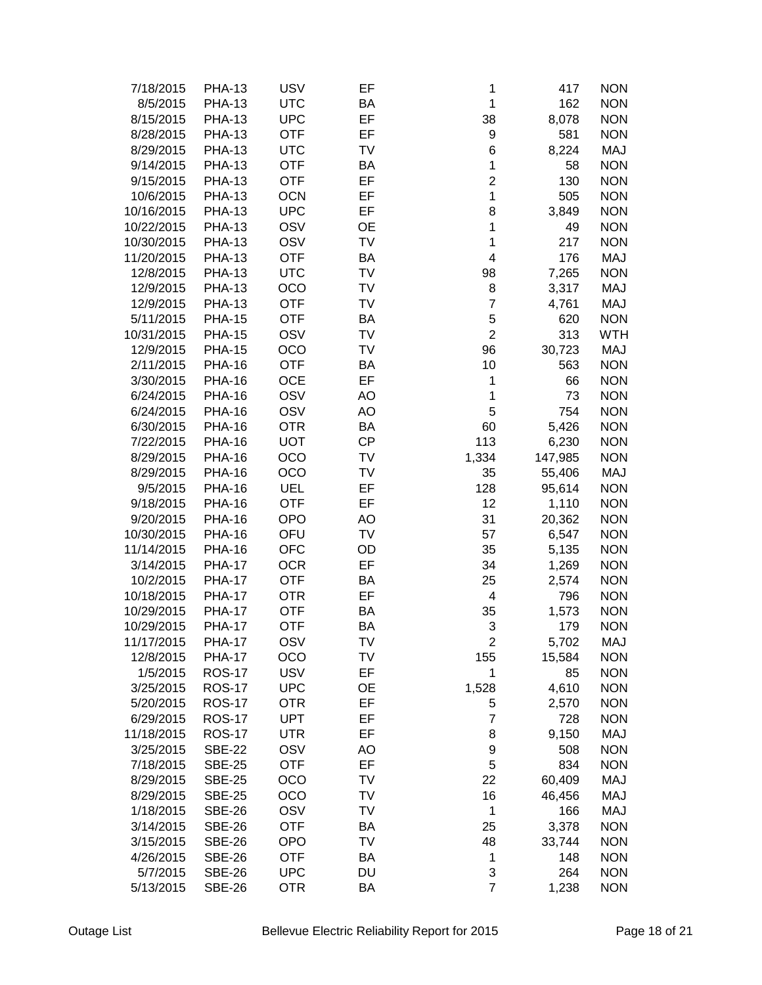| 7/18/2015  | <b>PHA-13</b> | <b>USV</b> | EF        | 1                       | 417     | <b>NON</b> |
|------------|---------------|------------|-----------|-------------------------|---------|------------|
| 8/5/2015   | <b>PHA-13</b> | <b>UTC</b> | BA        | $\mathbf 1$             | 162     | <b>NON</b> |
| 8/15/2015  | <b>PHA-13</b> | <b>UPC</b> | EF        | 38                      | 8,078   | <b>NON</b> |
| 8/28/2015  | <b>PHA-13</b> | <b>OTF</b> | EF        | 9                       | 581     | <b>NON</b> |
| 8/29/2015  | <b>PHA-13</b> | <b>UTC</b> | TV        | 6                       | 8,224   | MAJ        |
| 9/14/2015  | <b>PHA-13</b> | <b>OTF</b> | BA        | 1                       | 58      | <b>NON</b> |
| 9/15/2015  | <b>PHA-13</b> | <b>OTF</b> | EF        | $\overline{2}$          | 130     | <b>NON</b> |
| 10/6/2015  | <b>PHA-13</b> | <b>OCN</b> | EF        | 1                       | 505     | <b>NON</b> |
| 10/16/2015 | <b>PHA-13</b> | <b>UPC</b> | EF        | 8                       | 3,849   | <b>NON</b> |
| 10/22/2015 | <b>PHA-13</b> | OSV        | <b>OE</b> | 1                       | 49      | <b>NON</b> |
| 10/30/2015 | <b>PHA-13</b> | OSV        | TV        | 1                       | 217     | <b>NON</b> |
|            |               |            |           | $\overline{\mathbf{4}}$ |         |            |
| 11/20/2015 | <b>PHA-13</b> | <b>OTF</b> | BA        |                         | 176     | MAJ        |
| 12/8/2015  | <b>PHA-13</b> | <b>UTC</b> | TV        | 98                      | 7,265   | <b>NON</b> |
| 12/9/2015  | <b>PHA-13</b> | OCO        | TV        | 8                       | 3,317   | <b>MAJ</b> |
| 12/9/2015  | <b>PHA-13</b> | <b>OTF</b> | TV        | $\overline{7}$          | 4,761   | <b>MAJ</b> |
| 5/11/2015  | <b>PHA-15</b> | <b>OTF</b> | BA        | 5                       | 620     | <b>NON</b> |
| 10/31/2015 | <b>PHA-15</b> | OSV        | TV        | $\overline{2}$          | 313     | <b>WTH</b> |
| 12/9/2015  | <b>PHA-15</b> | OCO        | TV        | 96                      | 30,723  | <b>MAJ</b> |
| 2/11/2015  | <b>PHA-16</b> | <b>OTF</b> | BA        | 10                      | 563     | <b>NON</b> |
| 3/30/2015  | <b>PHA-16</b> | <b>OCE</b> | EF        | $\mathbf 1$             | 66      | <b>NON</b> |
| 6/24/2015  | <b>PHA-16</b> | OSV        | <b>AO</b> | 1                       | 73      | <b>NON</b> |
| 6/24/2015  | <b>PHA-16</b> | OSV        | AO        | 5                       | 754     | <b>NON</b> |
| 6/30/2015  | <b>PHA-16</b> | <b>OTR</b> | BA        | 60                      | 5,426   | <b>NON</b> |
| 7/22/2015  | <b>PHA-16</b> | <b>UOT</b> | <b>CP</b> | 113                     | 6,230   | <b>NON</b> |
| 8/29/2015  | <b>PHA-16</b> | OCO        | TV        | 1,334                   | 147,985 | <b>NON</b> |
| 8/29/2015  | <b>PHA-16</b> | OCO        | TV        | 35                      | 55,406  | MAJ        |
| 9/5/2015   | <b>PHA-16</b> | UEL        | EF        | 128                     | 95,614  | <b>NON</b> |
| 9/18/2015  | <b>PHA-16</b> | <b>OTF</b> | EF        | 12                      | 1,110   | <b>NON</b> |
| 9/20/2015  | <b>PHA-16</b> | <b>OPO</b> | AO        | 31                      | 20,362  | <b>NON</b> |
| 10/30/2015 | <b>PHA-16</b> | OFU        | TV        | 57                      | 6,547   | <b>NON</b> |
| 11/14/2015 | <b>PHA-16</b> | <b>OFC</b> | OD        | 35                      | 5,135   | <b>NON</b> |
| 3/14/2015  | <b>PHA-17</b> | <b>OCR</b> | EF        | 34                      | 1,269   | <b>NON</b> |
| 10/2/2015  | <b>PHA-17</b> | <b>OTF</b> | BA        | 25                      | 2,574   | <b>NON</b> |
| 10/18/2015 | <b>PHA-17</b> | <b>OTR</b> | EF        | 4                       | 796     | <b>NON</b> |
| 10/29/2015 | <b>PHA-17</b> | <b>OTF</b> | BA        | 35                      | 1,573   | <b>NON</b> |
| 10/29/2015 | <b>PHA-17</b> | <b>OTF</b> | BA        | 3                       | 179     | <b>NON</b> |
| 11/17/2015 | <b>PHA-17</b> | OSV        | TV        | 2                       | 5,702   | MAJ        |
| 12/8/2015  | <b>PHA-17</b> | OCO        | TV        | 155                     | 15,584  | <b>NON</b> |
| 1/5/2015   | <b>ROS-17</b> | <b>USV</b> | EF        | 1                       | 85      | <b>NON</b> |
| 3/25/2015  | <b>ROS-17</b> | <b>UPC</b> | <b>OE</b> | 1,528                   | 4,610   | <b>NON</b> |
| 5/20/2015  | <b>ROS-17</b> | <b>OTR</b> | EF        | 5                       | 2,570   | <b>NON</b> |
| 6/29/2015  | <b>ROS-17</b> | <b>UPT</b> | EF        | $\overline{7}$          | 728     | <b>NON</b> |
| 11/18/2015 | <b>ROS-17</b> | UTR        | EF        | 8                       | 9,150   | MAJ        |
| 3/25/2015  | <b>SBE-22</b> | OSV        | AO        | 9                       | 508     | <b>NON</b> |
| 7/18/2015  | <b>SBE-25</b> | <b>OTF</b> | EF        | $\mathbf 5$             | 834     | <b>NON</b> |
| 8/29/2015  | <b>SBE-25</b> | OCO        | TV        | 22                      | 60,409  | MAJ        |
| 8/29/2015  | <b>SBE-25</b> | OCO        | TV        | 16                      | 46,456  | MAJ        |
| 1/18/2015  | <b>SBE-26</b> | OSV        | TV        | $\mathbf 1$             | 166     | MAJ        |
| 3/14/2015  | <b>SBE-26</b> | <b>OTF</b> | BA        | 25                      | 3,378   | <b>NON</b> |
| 3/15/2015  | <b>SBE-26</b> | <b>OPO</b> | TV        | 48                      | 33,744  | <b>NON</b> |
| 4/26/2015  | <b>SBE-26</b> | <b>OTF</b> | BA        | $\mathbf 1$             | 148     | <b>NON</b> |
|            |               | <b>UPC</b> | DU        |                         | 264     | <b>NON</b> |
| 5/7/2015   | <b>SBE-26</b> |            |           | 3<br>$\overline{7}$     |         |            |
| 5/13/2015  | <b>SBE-26</b> | <b>OTR</b> | BA        |                         | 1,238   | <b>NON</b> |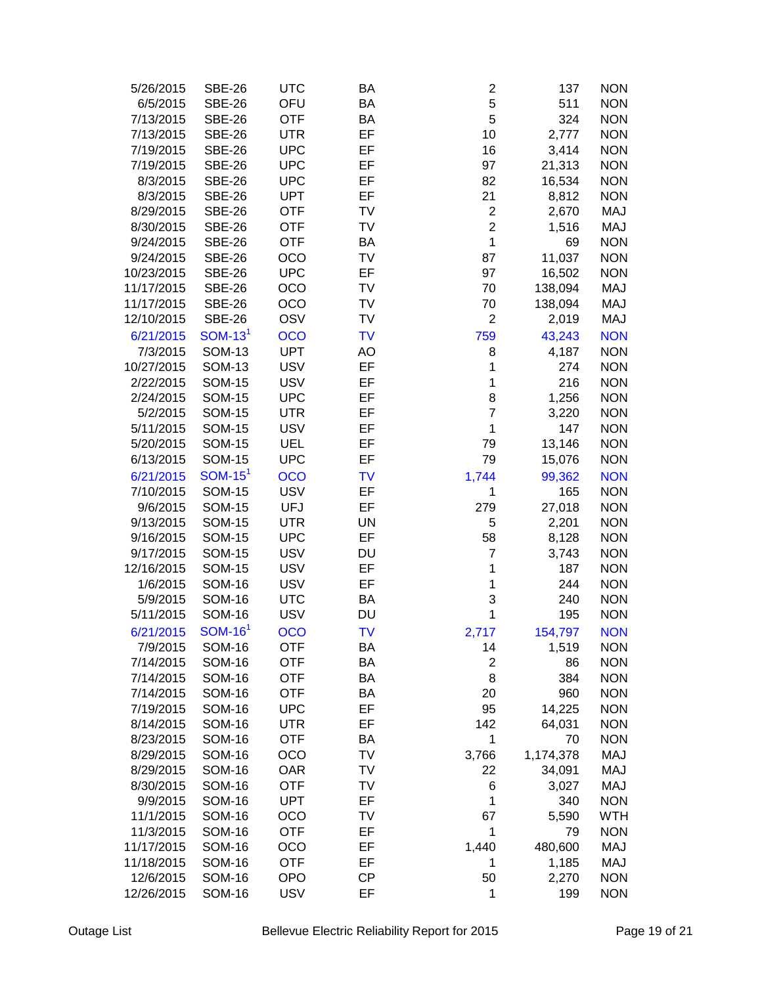| 5/26/2015  | <b>SBE-26</b> | <b>UTC</b> | BA        | $\overline{\mathbf{c}}$ | 137       | <b>NON</b> |
|------------|---------------|------------|-----------|-------------------------|-----------|------------|
| 6/5/2015   | <b>SBE-26</b> | OFU        | <b>BA</b> | 5                       | 511       | <b>NON</b> |
| 7/13/2015  | <b>SBE-26</b> | <b>OTF</b> | BA        | 5                       | 324       | <b>NON</b> |
| 7/13/2015  | <b>SBE-26</b> | <b>UTR</b> | EF        | 10                      | 2,777     | <b>NON</b> |
| 7/19/2015  | <b>SBE-26</b> | <b>UPC</b> | EF        | 16                      | 3,414     | <b>NON</b> |
| 7/19/2015  | <b>SBE-26</b> | <b>UPC</b> | EF        | 97                      | 21,313    | <b>NON</b> |
| 8/3/2015   | <b>SBE-26</b> | <b>UPC</b> | EF        | 82                      | 16,534    | <b>NON</b> |
| 8/3/2015   | <b>SBE-26</b> | <b>UPT</b> | EF        | 21                      | 8,812     | <b>NON</b> |
| 8/29/2015  | <b>SBE-26</b> | <b>OTF</b> | TV        | $\boldsymbol{2}$        | 2,670     | <b>MAJ</b> |
| 8/30/2015  | <b>SBE-26</b> | <b>OTF</b> | TV        | $\overline{c}$          | 1,516     | <b>MAJ</b> |
| 9/24/2015  |               | <b>OTF</b> | BA        | $\mathbf{1}$            | 69        | <b>NON</b> |
|            | <b>SBE-26</b> |            |           | 87                      |           |            |
| 9/24/2015  | <b>SBE-26</b> | OCO        | TV        |                         | 11,037    | <b>NON</b> |
| 10/23/2015 | <b>SBE-26</b> | <b>UPC</b> | EF        | 97                      | 16,502    | <b>NON</b> |
| 11/17/2015 | <b>SBE-26</b> | OCO        | TV        | 70                      | 138,094   | <b>MAJ</b> |
| 11/17/2015 | <b>SBE-26</b> | OCO        | TV        | 70                      | 138,094   | <b>MAJ</b> |
| 12/10/2015 | <b>SBE-26</b> | OSV        | TV        | $\overline{2}$          | 2,019     | <b>MAJ</b> |
| 6/21/2015  | $SOM-131$     | OCO        | <b>TV</b> | 759                     | 43,243    | <b>NON</b> |
| 7/3/2015   | <b>SOM-13</b> | <b>UPT</b> | AO        | 8                       | 4,187     | <b>NON</b> |
| 10/27/2015 | <b>SOM-13</b> | <b>USV</b> | EF        | 1                       | 274       | <b>NON</b> |
| 2/22/2015  | <b>SOM-15</b> | <b>USV</b> | EF        | 1                       | 216       | <b>NON</b> |
| 2/24/2015  | <b>SOM-15</b> | <b>UPC</b> | EF        | 8                       | 1,256     | <b>NON</b> |
| 5/2/2015   | <b>SOM-15</b> | <b>UTR</b> | EF        | $\overline{7}$          | 3,220     | <b>NON</b> |
| 5/11/2015  | <b>SOM-15</b> | <b>USV</b> | EF        | $\mathbf 1$             | 147       | <b>NON</b> |
| 5/20/2015  | <b>SOM-15</b> | UEL        | EF        | 79                      | 13,146    | <b>NON</b> |
| 6/13/2015  | <b>SOM-15</b> | <b>UPC</b> | EF        | 79                      | 15,076    | <b>NON</b> |
| 6/21/2015  | $SOM-151$     | <b>OCO</b> | <b>TV</b> | 1,744                   | 99,362    | <b>NON</b> |
| 7/10/2015  | <b>SOM-15</b> | <b>USV</b> | EF        | 1                       | 165       | <b>NON</b> |
| 9/6/2015   | <b>SOM-15</b> | <b>UFJ</b> | EF        | 279                     | 27,018    | <b>NON</b> |
| 9/13/2015  | <b>SOM-15</b> | <b>UTR</b> | <b>UN</b> | 5                       | 2,201     | <b>NON</b> |
| 9/16/2015  | <b>SOM-15</b> | <b>UPC</b> | EF        | 58                      | 8,128     | <b>NON</b> |
| 9/17/2015  | <b>SOM-15</b> | <b>USV</b> | DU        | $\overline{7}$          | 3,743     | <b>NON</b> |
| 12/16/2015 | <b>SOM-15</b> | <b>USV</b> | EF        | 1                       | 187       | <b>NON</b> |
| 1/6/2015   | <b>SOM-16</b> | <b>USV</b> | EF        | 1                       | 244       | <b>NON</b> |
| 5/9/2015   | <b>SOM-16</b> | <b>UTC</b> | BA        | 3                       | 240       | <b>NON</b> |
| 5/11/2015  | <b>SOM-16</b> | <b>USV</b> | <b>DU</b> | 1                       | 195       | <b>NON</b> |
| 6/21/2015  | $SOM-161$     | <b>OCO</b> | <b>TV</b> | 2,717                   | 154.797   | <b>NON</b> |
| 7/9/2015   | <b>SOM-16</b> | <b>OTF</b> | ВA        | 14                      | 1,519     | <b>NON</b> |
| 7/14/2015  | <b>SOM-16</b> | <b>OTF</b> | BA        | $\boldsymbol{2}$        | 86        | <b>NON</b> |
|            |               |            | BA        | 8                       | 384       | <b>NON</b> |
| 7/14/2015  | <b>SOM-16</b> | <b>OTF</b> |           |                         |           |            |
| 7/14/2015  | <b>SOM-16</b> | <b>OTF</b> | BA        | 20                      | 960       | <b>NON</b> |
| 7/19/2015  | <b>SOM-16</b> | <b>UPC</b> | EF        | 95                      | 14,225    | <b>NON</b> |
| 8/14/2015  | <b>SOM-16</b> | UTR        | EF        | 142                     | 64,031    | <b>NON</b> |
| 8/23/2015  | <b>SOM-16</b> | <b>OTF</b> | BA        | 1                       | 70        | <b>NON</b> |
| 8/29/2015  | <b>SOM-16</b> | OCO        | TV        | 3,766                   | 1,174,378 | <b>MAJ</b> |
| 8/29/2015  | <b>SOM-16</b> | <b>OAR</b> | TV        | 22                      | 34,091    | MAJ        |
| 8/30/2015  | <b>SOM-16</b> | <b>OTF</b> | TV        | 6                       | 3,027     | <b>MAJ</b> |
| 9/9/2015   | <b>SOM-16</b> | <b>UPT</b> | EF        | 1                       | 340       | <b>NON</b> |
| 11/1/2015  | <b>SOM-16</b> | OCO        | TV        | 67                      | 5,590     | <b>WTH</b> |
| 11/3/2015  | <b>SOM-16</b> | <b>OTF</b> | EF        | $\mathbf 1$             | 79        | <b>NON</b> |
| 11/17/2015 | <b>SOM-16</b> | OCO        | EF        | 1,440                   | 480,600   | <b>MAJ</b> |
| 11/18/2015 | <b>SOM-16</b> | <b>OTF</b> | EF        | 1                       | 1,185     | MAJ        |
| 12/6/2015  | <b>SOM-16</b> | <b>OPO</b> | <b>CP</b> | 50                      | 2,270     | <b>NON</b> |
| 12/26/2015 | <b>SOM-16</b> | <b>USV</b> | EF        | 1                       | 199       | <b>NON</b> |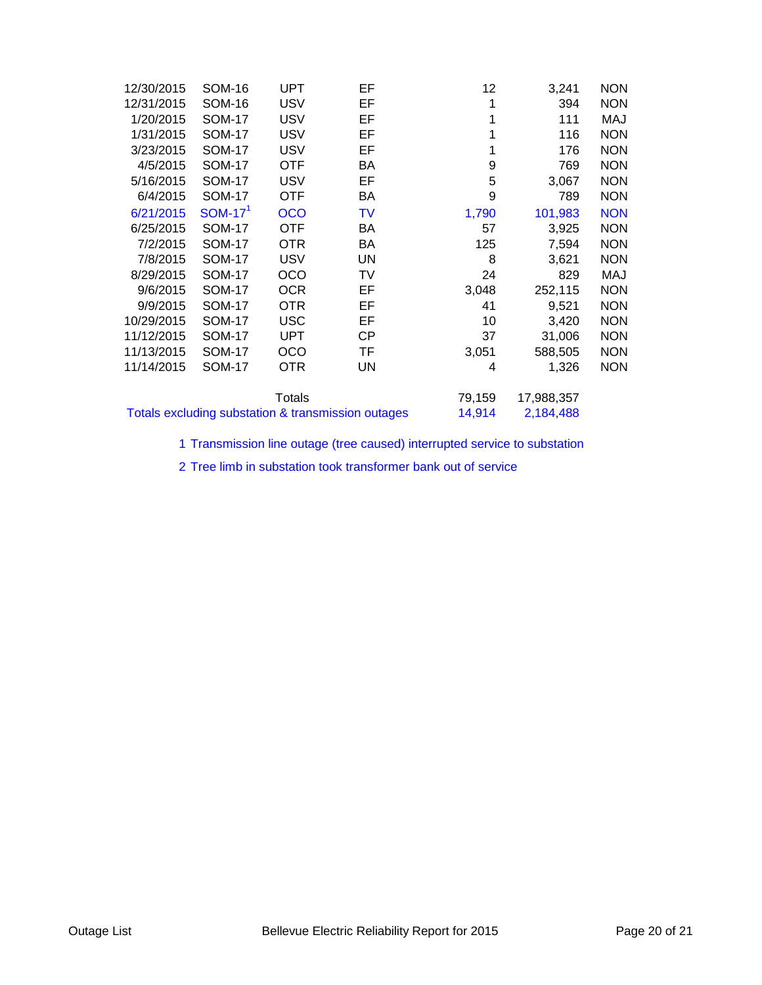| 12/30/2015                                         | <b>SOM-16</b> | UPT             | EF        | 12        | 3,241      | <b>NON</b> |
|----------------------------------------------------|---------------|-----------------|-----------|-----------|------------|------------|
| 12/31/2015                                         | <b>SOM-16</b> | <b>USV</b>      | EF        | 1         | 394        | <b>NON</b> |
| 1/20/2015                                          | <b>SOM-17</b> | <b>USV</b>      | EF        | 1         | 111        | MAJ        |
| 1/31/2015                                          | <b>SOM-17</b> | <b>USV</b>      | EF        |           | 116        | <b>NON</b> |
| 3/23/2015                                          | <b>SOM-17</b> | <b>USV</b>      | EF        | 1         | 176        | <b>NON</b> |
| 4/5/2015                                           | <b>SOM-17</b> | <b>OTF</b>      | BA        | 9         | 769        | <b>NON</b> |
| 5/16/2015                                          | <b>SOM-17</b> | <b>USV</b>      | EF        | 5         | 3,067      | <b>NON</b> |
| 6/4/2015                                           | <b>SOM-17</b> | OTF             | BA        | 9         | 789        | <b>NON</b> |
| 6/21/2015                                          | $SOM-171$     | <b>OCO</b>      | TV        | 1,790     | 101,983    | <b>NON</b> |
| 6/25/2015                                          | <b>SOM-17</b> | <b>OTF</b>      | BA        | 57        | 3,925      | <b>NON</b> |
| 7/2/2015                                           | <b>SOM-17</b> | OTR <sub></sub> | BA        | 125       | 7,594      | <b>NON</b> |
| 7/8/2015                                           | <b>SOM-17</b> | <b>USV</b>      | UN        | 8         | 3,621      | <b>NON</b> |
| 8/29/2015                                          | <b>SOM-17</b> | OCO             | TV        | 24        | 829        | MAJ        |
| 9/6/2015                                           | <b>SOM-17</b> | <b>OCR</b>      | EF        | 3,048     | 252,115    | <b>NON</b> |
| 9/9/2015                                           | <b>SOM-17</b> | <b>OTR</b>      | EF        | 41        | 9,521      | <b>NON</b> |
| 10/29/2015                                         | <b>SOM-17</b> | <b>USC</b>      | EF        | 10        | 3,420      | <b>NON</b> |
| 11/12/2015                                         | <b>SOM-17</b> | <b>UPT</b>      | <b>CP</b> | 37        | 31,006     | <b>NON</b> |
| 11/13/2015                                         | <b>SOM-17</b> | OCO             | TF        | 3,051     | 588,505    | <b>NON</b> |
| 11/14/2015                                         | <b>SOM-17</b> | OTR.            | UN        | 4         | 1,326      | <b>NON</b> |
|                                                    |               | Totals          |           | 79,159    | 17,988,357 |            |
| Totals excluding substation & transmission outages |               |                 | 14,914    | 2,184,488 |            |            |

1 Transmission line outage (tree caused) interrupted service to substation

2 Tree limb in substation took transformer bank out of service